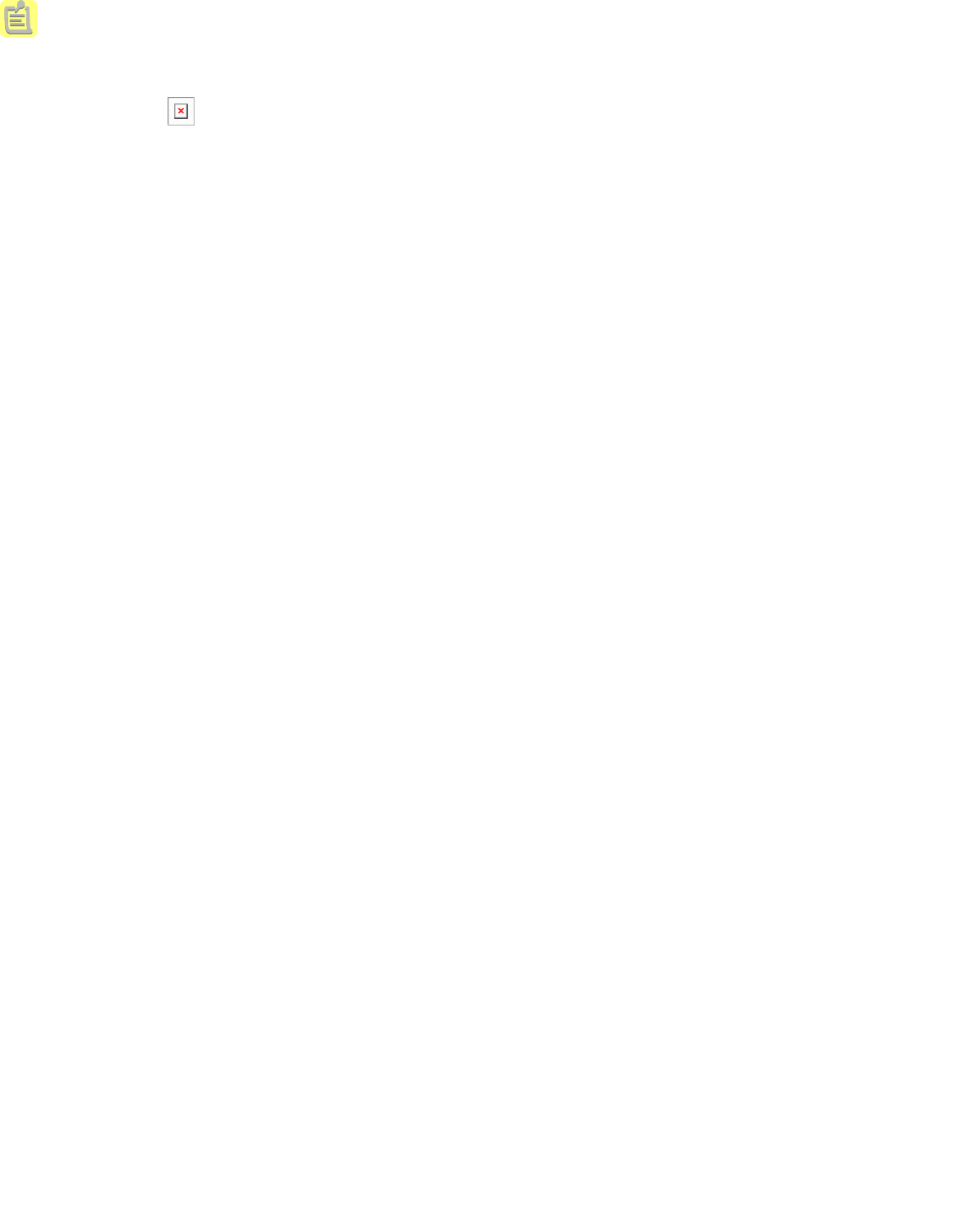$\boxed{\textbf{x}}$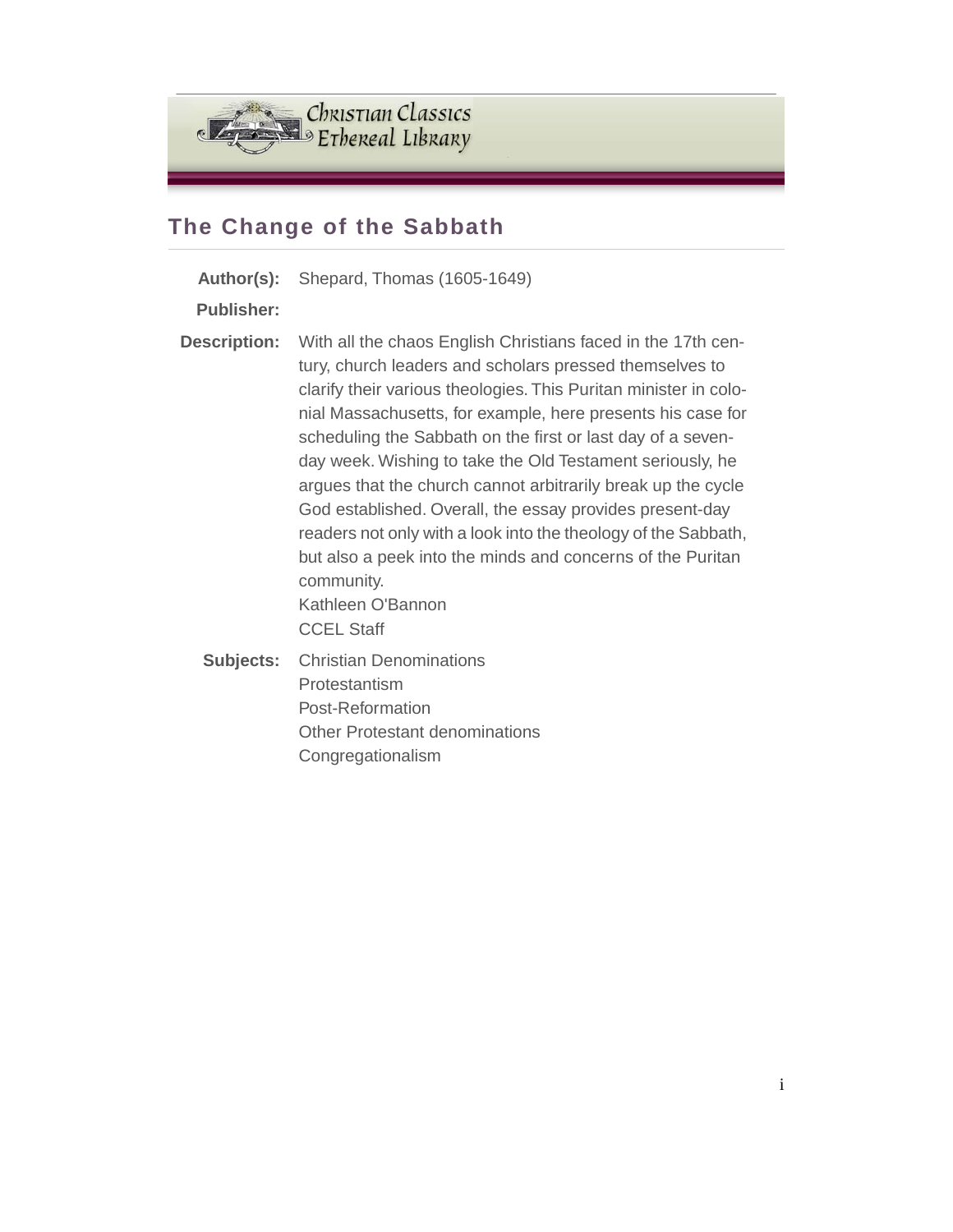

### **The Change of the Sabbath**

**Author(s):** Shepard, Thomas (1605-1649)

#### **Publisher:**

- **Description:** With all the chaos English Christians faced in the 17th century, church leaders and scholars pressed themselves to clarify their various theologies. This Puritan minister in colonial Massachusetts, for example, here presents his case for scheduling the Sabbath on the first or last day of a sevenday week. Wishing to take the Old Testament seriously, he argues that the church cannot arbitrarily break up the cycle God established. Overall, the essay provides present-day readers not only with a look into the theology of the Sabbath, but also a peek into the minds and concerns of the Puritan community. Kathleen O'Bannon CCEL Staff
	- **Subjects:** Christian Denominations Protestantism Post-Reformation Other Protestant denominations Congregationalism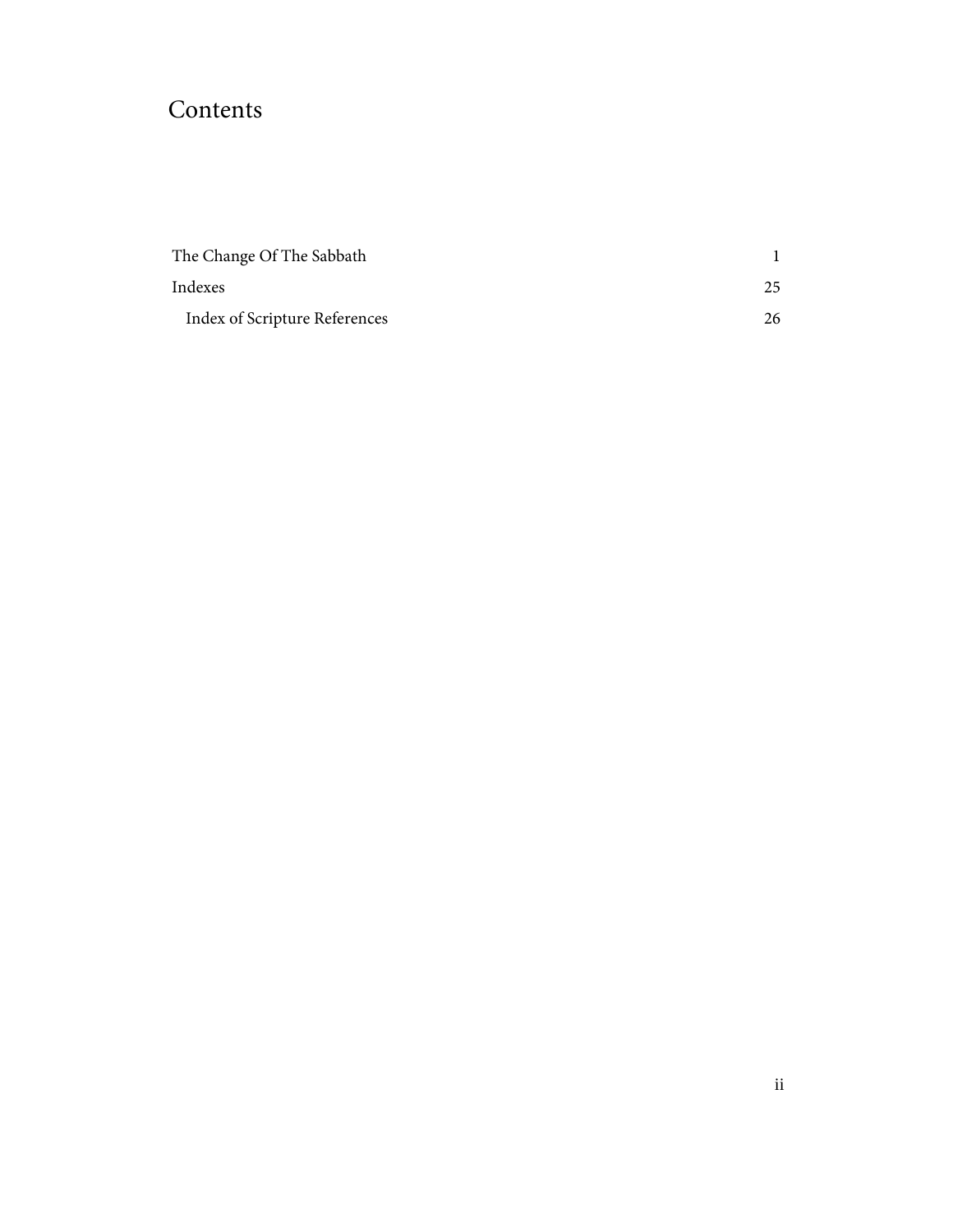# Contents

| The Change Of The Sabbath            |    |
|--------------------------------------|----|
| Indexes                              | 25 |
| <b>Index of Scripture References</b> | 26 |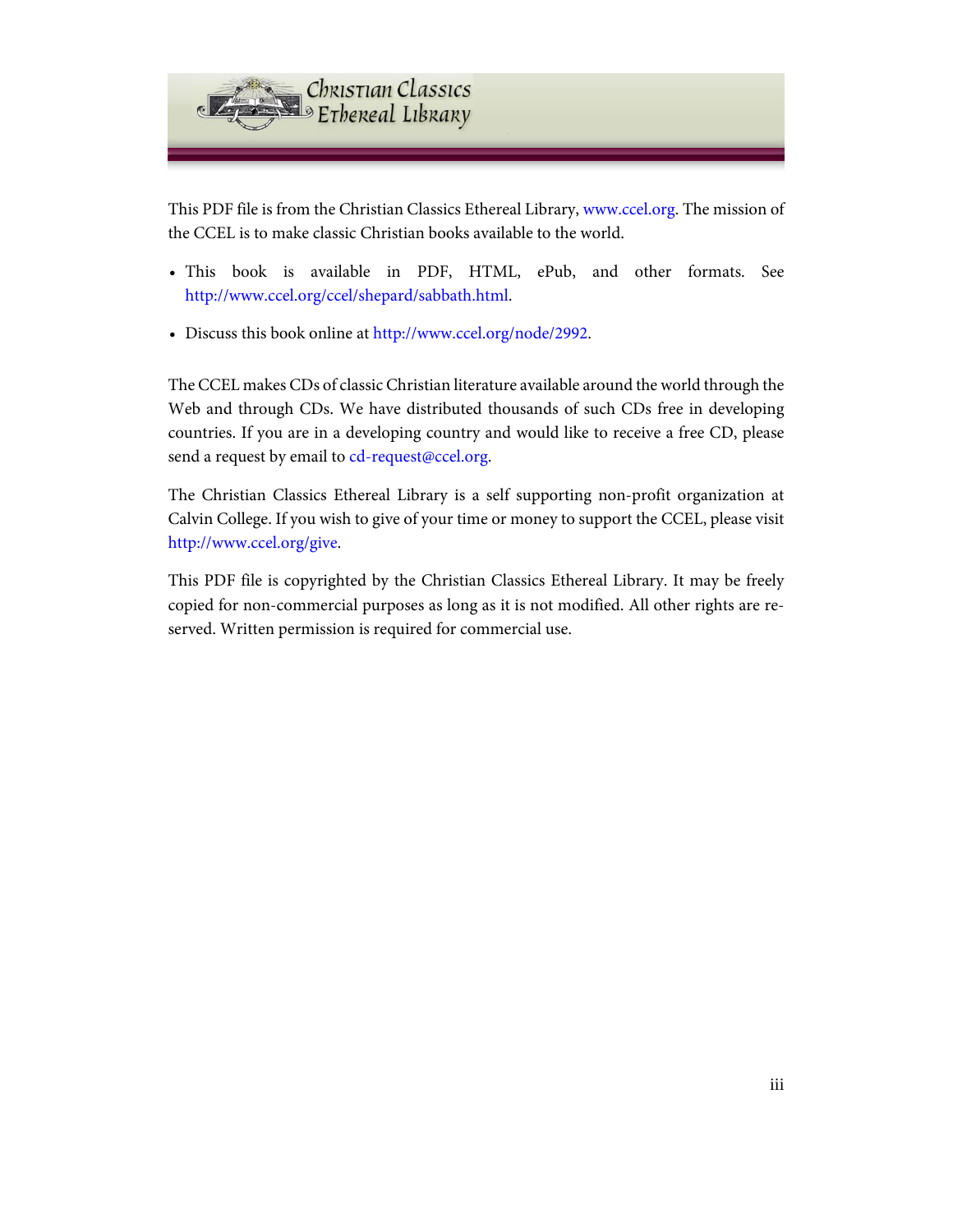

This PDF file is from the Christian Classics Ethereal Library, [www.ccel.org.](http://www.ccel.org) The mission of the CCEL is to make classic Christian books available to the world.

- This book is available in PDF, HTML, ePub, and other formats. See [http://www.ccel.org/ccel/shepard/sabbath.html.](http://www.ccel.org/ccel/shepard/sabbath.html)
- Discuss this book online at [http://www.ccel.org/node/2992.](http://www.ccel.org/node/2992)

The CCEL makes CDs of classic Christian literature available around the world through the Web and through CDs. We have distributed thousands of such CDs free in developing countries. If you are in a developing country and would like to receive a free CD, please send a request by email to [cd-request@ccel.org.](mailto:cd-request@ccel.org)

The Christian Classics Ethereal Library is a self supporting non-profit organization at Calvin College. If you wish to give of your time or money to support the CCEL, please visit [http://www.ccel.org/give.](http://www.ccel.org/give)

This PDF file is copyrighted by the Christian Classics Ethereal Library. It may be freely copied for non-commercial purposes as long as it is not modified. All other rights are reserved. Written permission is required for commercial use.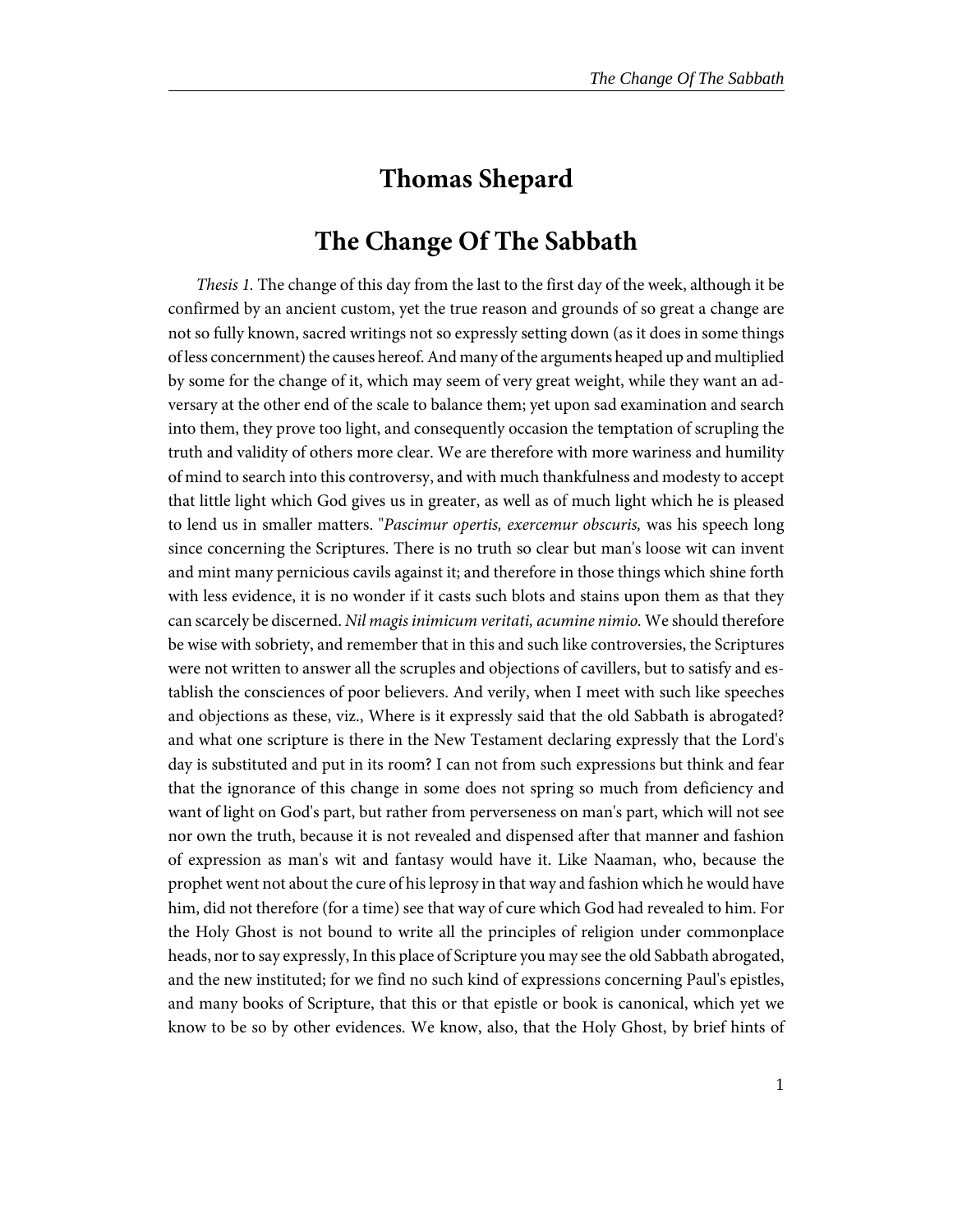# **Thomas Shepard**

## **The Change Of The Sabbath**

<span id="page-4-0"></span>Thesis 1. The change of this day from the last to the first day of the week, although it be confirmed by an ancient custom, yet the true reason and grounds of so great a change are not so fully known, sacred writings not so expressly setting down (as it does in some things of less concernment) the causes hereof. And many of the arguments heaped up and multiplied by some for the change of it, which may seem of very great weight, while they want an adversary at the other end of the scale to balance them; yet upon sad examination and search into them, they prove too light, and consequently occasion the temptation of scrupling the truth and validity of others more clear. We are therefore with more wariness and humility of mind to search into this controversy, and with much thankfulness and modesty to accept that little light which God gives us in greater, as well as of much light which he is pleased to lend us in smaller matters. "Pascimur opertis, exercemur obscuris, was his speech long since concerning the Scriptures. There is no truth so clear but man's loose wit can invent and mint many pernicious cavils against it; and therefore in those things which shine forth with less evidence, it is no wonder if it casts such blots and stains upon them as that they can scarcely be discerned. Nil magis inimicum veritati, acumine nimio. We should therefore be wise with sobriety, and remember that in this and such like controversies, the Scriptures were not written to answer all the scruples and objections of cavillers, but to satisfy and establish the consciences of poor believers. And verily, when I meet with such like speeches and objections as these, viz., Where is it expressly said that the old Sabbath is abrogated? and what one scripture is there in the New Testament declaring expressly that the Lord's day is substituted and put in its room? I can not from such expressions but think and fear that the ignorance of this change in some does not spring so much from deficiency and want of light on God's part, but rather from perverseness on man's part, which will not see nor own the truth, because it is not revealed and dispensed after that manner and fashion of expression as man's wit and fantasy would have it. Like Naaman, who, because the prophet went not about the cure of his leprosy in that way and fashion which he would have him, did not therefore (for a time) see that way of cure which God had revealed to him. For the Holy Ghost is not bound to write all the principles of religion under commonplace heads, nor to say expressly, In this place of Scripture you may see the old Sabbath abrogated, and the new instituted; for we find no such kind of expressions concerning Paul's epistles, and many books of Scripture, that this or that epistle or book is canonical, which yet we know to be so by other evidences. We know, also, that the Holy Ghost, by brief hints of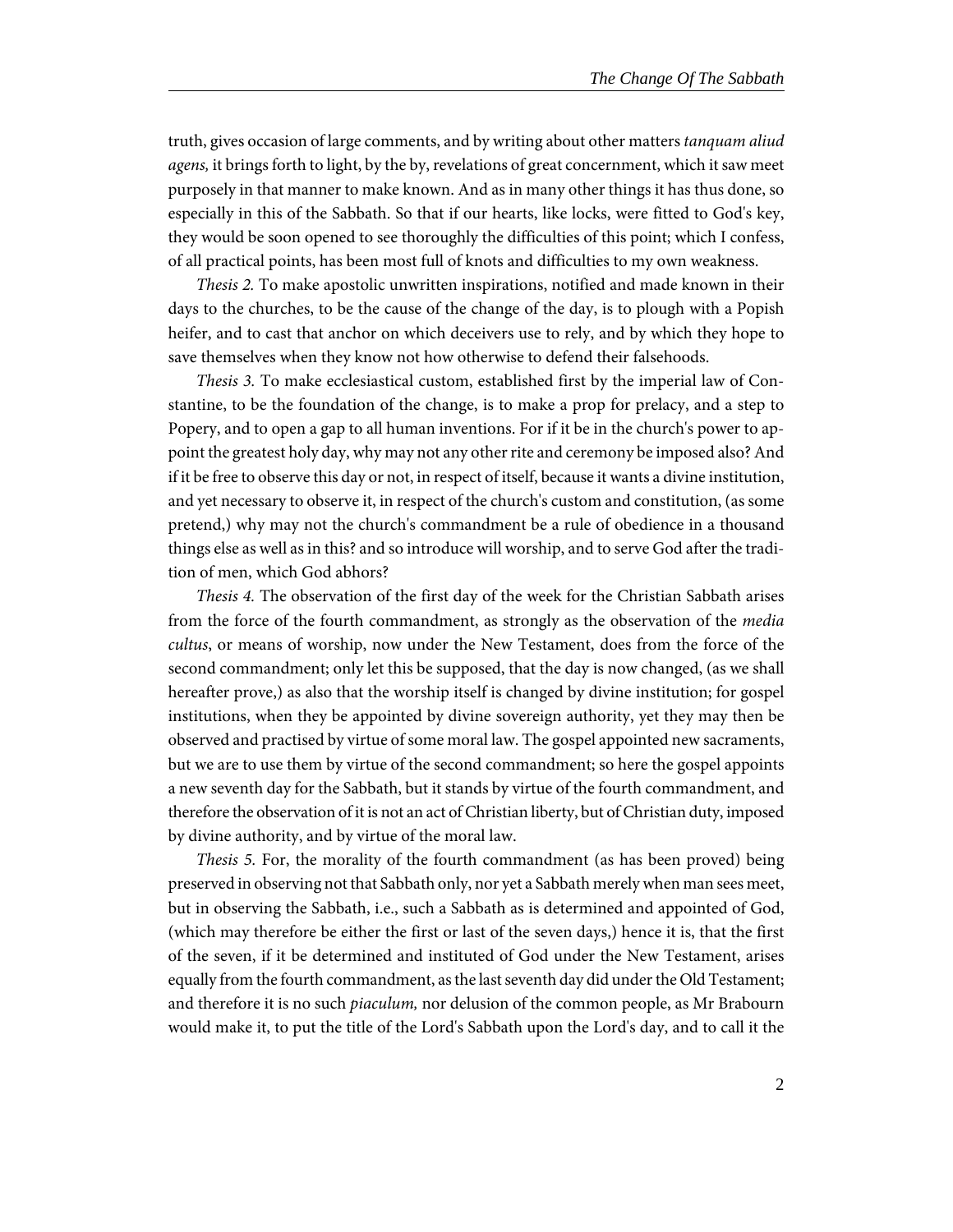truth, gives occasion of large comments, and by writing about other matters tanquam aliud agens, it brings forth to light, by the by, revelations of great concernment, which it saw meet purposely in that manner to make known. And as in many other things it has thus done, so especially in this of the Sabbath. So that if our hearts, like locks, were fitted to God's key, they would be soon opened to see thoroughly the difficulties of this point; which I confess, of all practical points, has been most full of knots and difficulties to my own weakness.

Thesis 2. To make apostolic unwritten inspirations, notified and made known in their days to the churches, to be the cause of the change of the day, is to plough with a Popish heifer, and to cast that anchor on which deceivers use to rely, and by which they hope to save themselves when they know not how otherwise to defend their falsehoods.

Thesis 3. To make ecclesiastical custom, established first by the imperial law of Constantine, to be the foundation of the change, is to make a prop for prelacy, and a step to Popery, and to open a gap to all human inventions. For if it be in the church's power to appoint the greatest holy day, why may not any other rite and ceremony be imposed also? And if it be free to observe this day or not, in respect of itself, because it wants a divine institution, and yet necessary to observe it, in respect of the church's custom and constitution, (as some pretend,) why may not the church's commandment be a rule of obedience in a thousand things else as well as in this? and so introduce will worship, and to serve God after the tradition of men, which God abhors?

Thesis 4. The observation of the first day of the week for the Christian Sabbath arises from the force of the fourth commandment, as strongly as the observation of the *media* cultus, or means of worship, now under the New Testament, does from the force of the second commandment; only let this be supposed, that the day is now changed, (as we shall hereafter prove,) as also that the worship itself is changed by divine institution; for gospel institutions, when they be appointed by divine sovereign authority, yet they may then be observed and practised by virtue of some moral law. The gospel appointed new sacraments, but we are to use them by virtue of the second commandment; so here the gospel appoints a new seventh day for the Sabbath, but it stands by virtue of the fourth commandment, and therefore the observation of it is not an act of Christian liberty, but of Christian duty, imposed by divine authority, and by virtue of the moral law.

Thesis 5. For, the morality of the fourth commandment (as has been proved) being preserved in observing not that Sabbath only, nor yet a Sabbath merely when man sees meet, but in observing the Sabbath, i.e., such a Sabbath as is determined and appointed of God, (which may therefore be either the first or last of the seven days,) hence it is, that the first of the seven, if it be determined and instituted of God under the New Testament, arises equally from the fourth commandment, as the last seventh day did under the Old Testament; and therefore it is no such *piaculum*, nor delusion of the common people, as Mr Brabourn would make it, to put the title of the Lord's Sabbath upon the Lord's day, and to call it the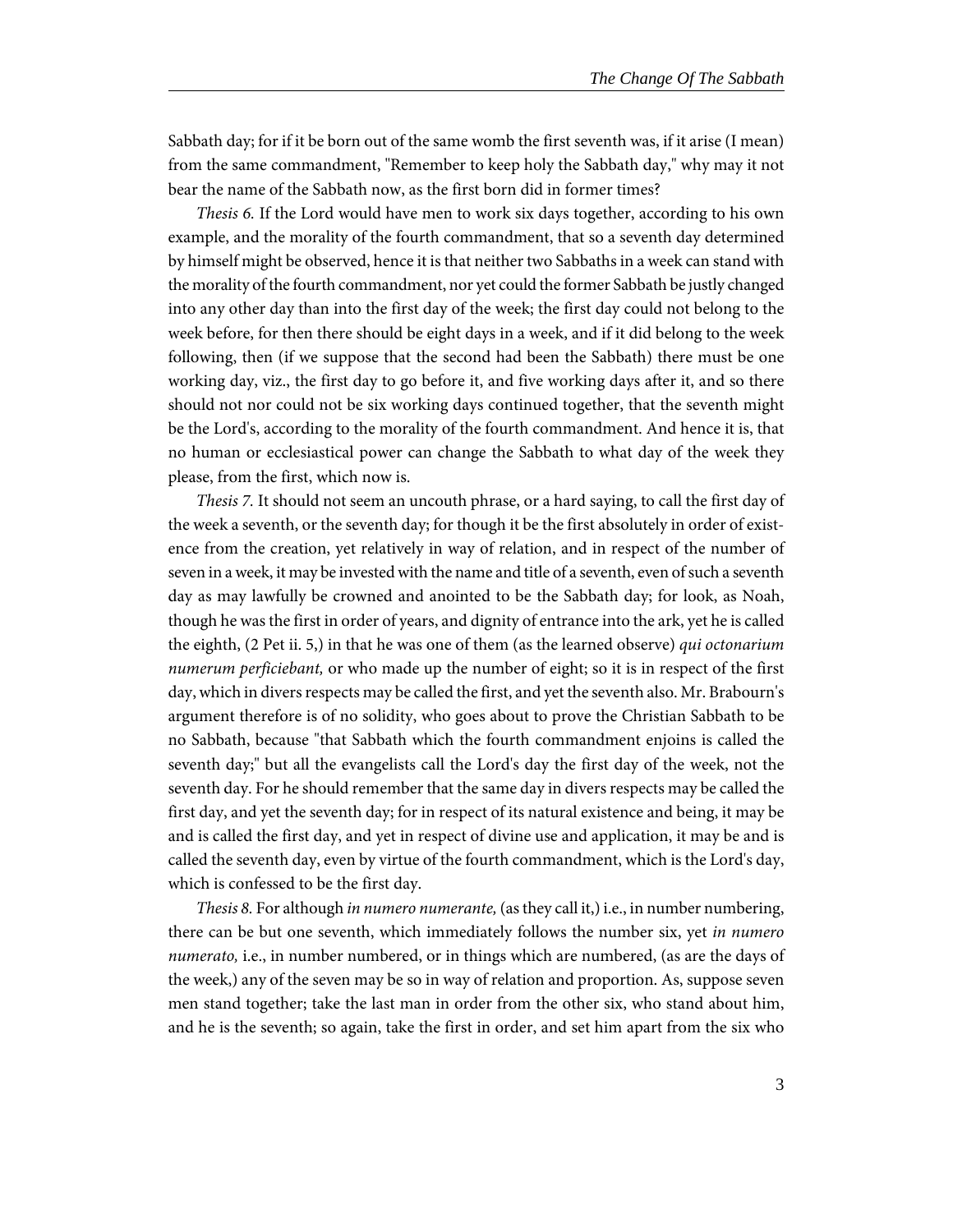Sabbath day; for if it be born out of the same womb the first seventh was, if it arise (I mean) from the same commandment, "Remember to keep holy the Sabbath day," why may it not bear the name of the Sabbath now, as the first born did in former times?

Thesis 6. If the Lord would have men to work six days together, according to his own example, and the morality of the fourth commandment, that so a seventh day determined by himself might be observed, hence it is that neither two Sabbaths in a week can stand with the morality of the fourth commandment, nor yet could the former Sabbath be justly changed into any other day than into the first day of the week; the first day could not belong to the week before, for then there should be eight days in a week, and if it did belong to the week following, then (if we suppose that the second had been the Sabbath) there must be one working day, viz., the first day to go before it, and five working days after it, and so there should not nor could not be six working days continued together, that the seventh might be the Lord's, according to the morality of the fourth commandment. And hence it is, that no human or ecclesiastical power can change the Sabbath to what day of the week they please, from the first, which now is.

Thesis 7. It should not seem an uncouth phrase, or a hard saying, to call the first day of the week a seventh, or the seventh day; for though it be the first absolutely in order of existence from the creation, yet relatively in way of relation, and in respect of the number of seven in a week, it may be invested with the name and title of a seventh, even of such a seventh day as may lawfully be crowned and anointed to be the Sabbath day; for look, as Noah, though he was the first in order of years, and dignity of entrance into the ark, yet he is called the eighth, (2 Pet ii. 5,) in that he was one of them (as the learned observe) qui octonarium numerum perficiebant, or who made up the number of eight; so it is in respect of the first day, which in divers respects may be called the first, and yet the seventh also. Mr. Brabourn's argument therefore is of no solidity, who goes about to prove the Christian Sabbath to be no Sabbath, because "that Sabbath which the fourth commandment enjoins is called the seventh day;" but all the evangelists call the Lord's day the first day of the week, not the seventh day. For he should remember that the same day in divers respects may be called the first day, and yet the seventh day; for in respect of its natural existence and being, it may be and is called the first day, and yet in respect of divine use and application, it may be and is called the seventh day, even by virtue of the fourth commandment, which is the Lord's day, which is confessed to be the first day.

Thesis 8. For although in numero numerante, (as they call it,) i.e., in number numbering, there can be but one seventh, which immediately follows the number six, yet in numero numerato, i.e., in number numbered, or in things which are numbered, (as are the days of the week,) any of the seven may be so in way of relation and proportion. As, suppose seven men stand together; take the last man in order from the other six, who stand about him, and he is the seventh; so again, take the first in order, and set him apart from the six who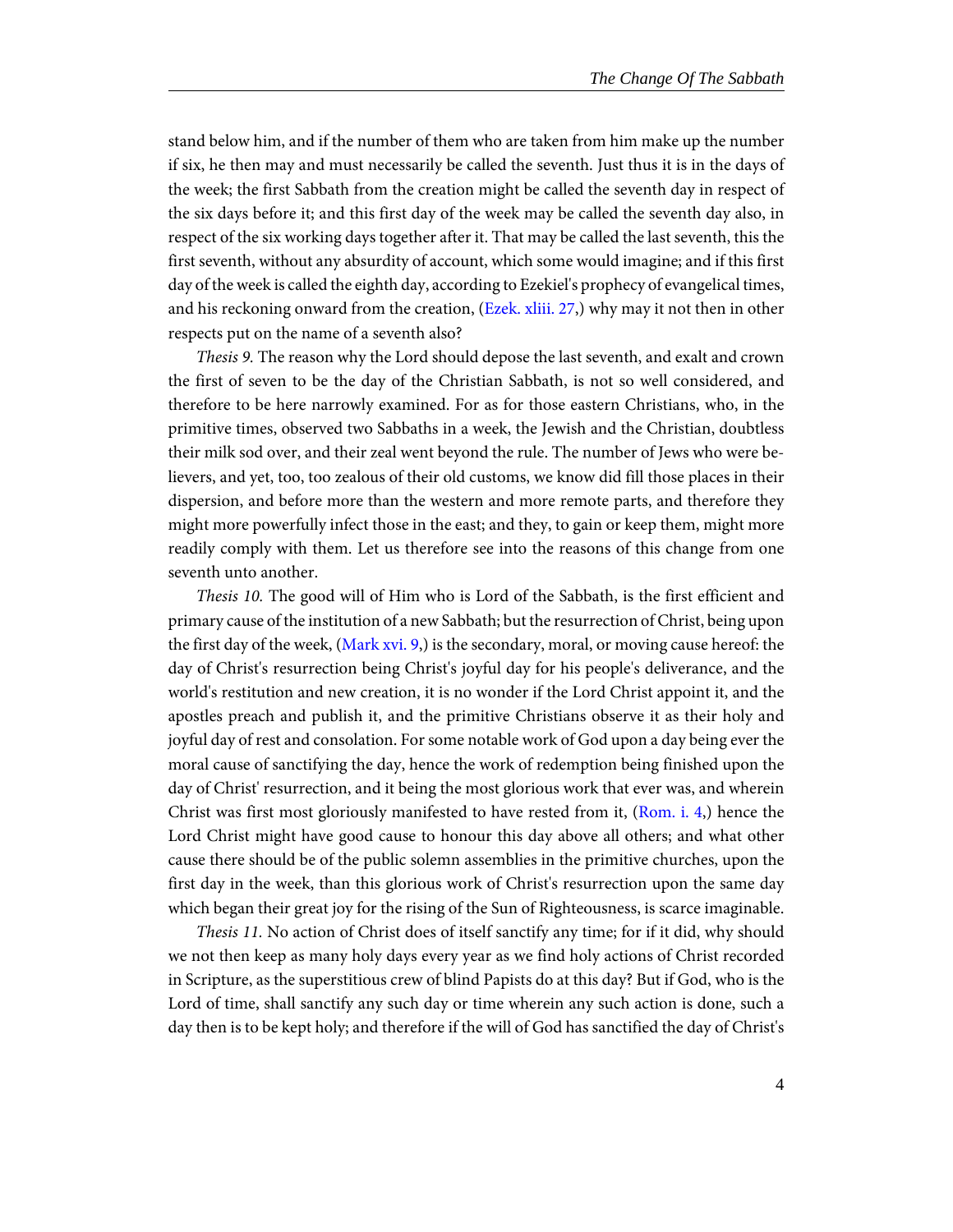stand below him, and if the number of them who are taken from him make up the number if six, he then may and must necessarily be called the seventh. Just thus it is in the days of the week; the first Sabbath from the creation might be called the seventh day in respect of the six days before it; and this first day of the week may be called the seventh day also, in respect of the six working days together after it. That may be called the last seventh, this the first seventh, without any absurdity of account, which some would imagine; and if this first day of the week is called the eighth day, according to Ezekiel's prophecy of evangelical times, and his reckoning onward from the creation, [\(Ezek. xliii. 27,](http://www.ccel.org/study/Bible:Ezek.43.27)) why may it not then in other respects put on the name of a seventh also?

<span id="page-7-0"></span>Thesis 9. The reason why the Lord should depose the last seventh, and exalt and crown the first of seven to be the day of the Christian Sabbath, is not so well considered, and therefore to be here narrowly examined. For as for those eastern Christians, who, in the primitive times, observed two Sabbaths in a week, the Jewish and the Christian, doubtless their milk sod over, and their zeal went beyond the rule. The number of Jews who were believers, and yet, too, too zealous of their old customs, we know did fill those places in their dispersion, and before more than the western and more remote parts, and therefore they might more powerfully infect those in the east; and they, to gain or keep them, might more readily comply with them. Let us therefore see into the reasons of this change from one seventh unto another.

<span id="page-7-2"></span><span id="page-7-1"></span>Thesis 10. The good will of Him who is Lord of the Sabbath, is the first efficient and primary cause of the institution of a new Sabbath; but the resurrection of Christ, being upon the first day of the week, ([Mark xvi. 9](http://www.ccel.org/study/Bible:Mark.16.9),) is the secondary, moral, or moving cause hereof: the day of Christ's resurrection being Christ's joyful day for his people's deliverance, and the world's restitution and new creation, it is no wonder if the Lord Christ appoint it, and the apostles preach and publish it, and the primitive Christians observe it as their holy and joyful day of rest and consolation. For some notable work of God upon a day being ever the moral cause of sanctifying the day, hence the work of redemption being finished upon the day of Christ' resurrection, and it being the most glorious work that ever was, and wherein Christ was first most gloriously manifested to have rested from it, [\(Rom. i. 4](http://www.ccel.org/study/Bible:Rom.1.4),) hence the Lord Christ might have good cause to honour this day above all others; and what other cause there should be of the public solemn assemblies in the primitive churches, upon the first day in the week, than this glorious work of Christ's resurrection upon the same day which began their great joy for the rising of the Sun of Righteousness, is scarce imaginable.

Thesis 11. No action of Christ does of itself sanctify any time; for if it did, why should we not then keep as many holy days every year as we find holy actions of Christ recorded in Scripture, as the superstitious crew of blind Papists do at this day? But if God, who is the Lord of time, shall sanctify any such day or time wherein any such action is done, such a day then is to be kept holy; and therefore if the will of God has sanctified the day of Christ's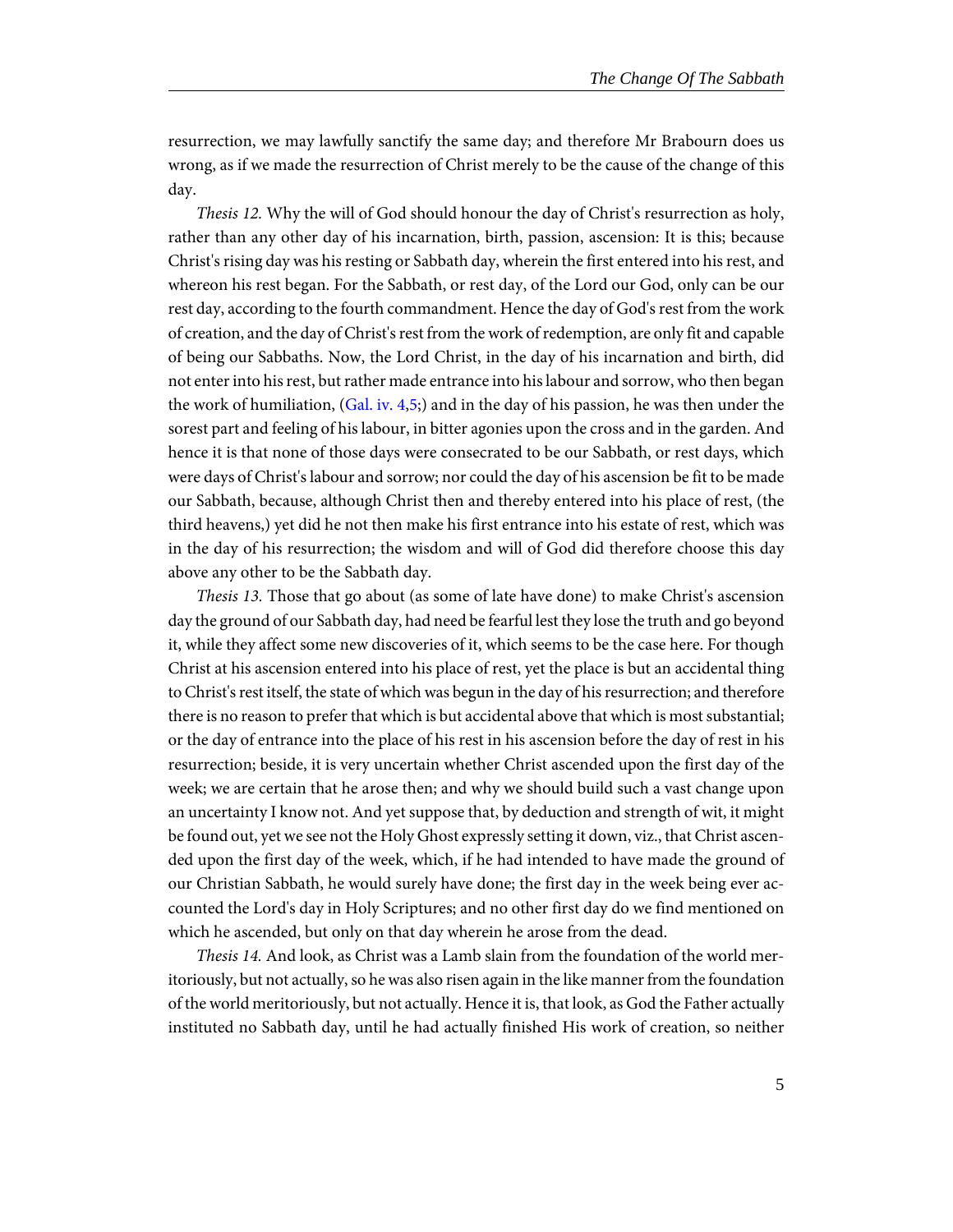resurrection, we may lawfully sanctify the same day; and therefore Mr Brabourn does us wrong, as if we made the resurrection of Christ merely to be the cause of the change of this day.

<span id="page-8-0"></span>Thesis 12. Why the will of God should honour the day of Christ's resurrection as holy, rather than any other day of his incarnation, birth, passion, ascension: It is this; because Christ's rising day was his resting or Sabbath day, wherein the first entered into his rest, and whereon his rest began. For the Sabbath, or rest day, of the Lord our God, only can be our rest day, according to the fourth commandment. Hence the day of God's rest from the work of creation, and the day of Christ's rest from the work of redemption, are only fit and capable of being our Sabbaths. Now, the Lord Christ, in the day of his incarnation and birth, did not enter into his rest, but rather made entrance into his labour and sorrow, who then began the work of humiliation, ([Gal. iv. 4](http://www.ccel.org/study/Bible:Gal.4.4)[,5](http://www.ccel.org/study/Bible:Gal.4.5);) and in the day of his passion, he was then under the sorest part and feeling of his labour, in bitter agonies upon the cross and in the garden. And hence it is that none of those days were consecrated to be our Sabbath, or rest days, which were days of Christ's labour and sorrow; nor could the day of his ascension be fit to be made our Sabbath, because, although Christ then and thereby entered into his place of rest, (the third heavens,) yet did he not then make his first entrance into his estate of rest, which was in the day of his resurrection; the wisdom and will of God did therefore choose this day above any other to be the Sabbath day.

Thesis 13. Those that go about (as some of late have done) to make Christ's ascension day the ground of our Sabbath day, had need be fearful lest they lose the truth and go beyond it, while they affect some new discoveries of it, which seems to be the case here. For though Christ at his ascension entered into his place of rest, yet the place is but an accidental thing to Christ's rest itself, the state of which was begun in the day of his resurrection; and therefore there is no reason to prefer that which is but accidental above that which is most substantial; or the day of entrance into the place of his rest in his ascension before the day of rest in his resurrection; beside, it is very uncertain whether Christ ascended upon the first day of the week; we are certain that he arose then; and why we should build such a vast change upon an uncertainty I know not. And yet suppose that, by deduction and strength of wit, it might be found out, yet we see not the Holy Ghost expressly setting it down, viz., that Christ ascended upon the first day of the week, which, if he had intended to have made the ground of our Christian Sabbath, he would surely have done; the first day in the week being ever accounted the Lord's day in Holy Scriptures; and no other first day do we find mentioned on which he ascended, but only on that day wherein he arose from the dead.

Thesis 14. And look, as Christ was a Lamb slain from the foundation of the world meritoriously, but not actually, so he was also risen again in the like manner from the foundation of the world meritoriously, but not actually. Hence it is, that look, as God the Father actually instituted no Sabbath day, until he had actually finished His work of creation, so neither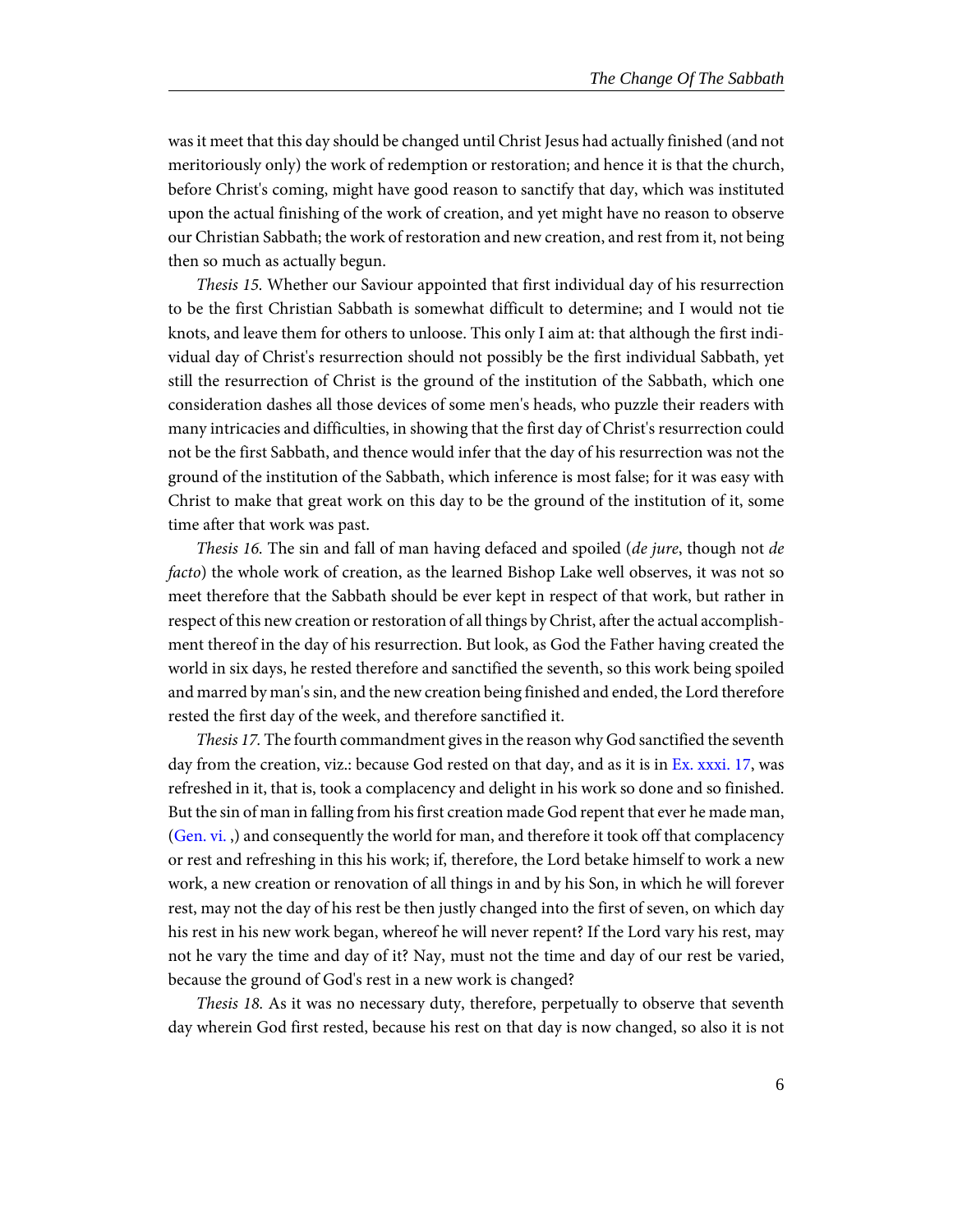was it meet that this day should be changed until Christ Jesus had actually finished (and not meritoriously only) the work of redemption or restoration; and hence it is that the church, before Christ's coming, might have good reason to sanctify that day, which was instituted upon the actual finishing of the work of creation, and yet might have no reason to observe our Christian Sabbath; the work of restoration and new creation, and rest from it, not being then so much as actually begun.

Thesis 15. Whether our Saviour appointed that first individual day of his resurrection to be the first Christian Sabbath is somewhat difficult to determine; and I would not tie knots, and leave them for others to unloose. This only I aim at: that although the first individual day of Christ's resurrection should not possibly be the first individual Sabbath, yet still the resurrection of Christ is the ground of the institution of the Sabbath, which one consideration dashes all those devices of some men's heads, who puzzle their readers with many intricacies and difficulties, in showing that the first day of Christ's resurrection could not be the first Sabbath, and thence would infer that the day of his resurrection was not the ground of the institution of the Sabbath, which inference is most false; for it was easy with Christ to make that great work on this day to be the ground of the institution of it, some time after that work was past.

Thesis 16. The sin and fall of man having defaced and spoiled (de jure, though not de facto) the whole work of creation, as the learned Bishop Lake well observes, it was not so meet therefore that the Sabbath should be ever kept in respect of that work, but rather in respect of this new creation or restoration of all things by Christ, after the actual accomplishment thereof in the day of his resurrection. But look, as God the Father having created the world in six days, he rested therefore and sanctified the seventh, so this work being spoiled and marred by man's sin, and the new creation being finished and ended, the Lord therefore rested the first day of the week, and therefore sanctified it.

<span id="page-9-1"></span><span id="page-9-0"></span>Thesis 17. The fourth commandment gives in the reason why God sanctified the seventh day from the creation, viz.: because God rested on that day, and as it is in [Ex. xxxi. 17](http://www.ccel.org/study/Bible:Exod.31.17), was refreshed in it, that is, took a complacency and delight in his work so done and so finished. But the sin of man in falling from his first creation made God repent that ever he made man, ([Gen. vi.](http://www.ccel.org/study/Bible:Gen.6) ,) and consequently the world for man, and therefore it took off that complacency or rest and refreshing in this his work; if, therefore, the Lord betake himself to work a new work, a new creation or renovation of all things in and by his Son, in which he will forever rest, may not the day of his rest be then justly changed into the first of seven, on which day his rest in his new work began, whereof he will never repent? If the Lord vary his rest, may not he vary the time and day of it? Nay, must not the time and day of our rest be varied, because the ground of God's rest in a new work is changed?

Thesis 18. As it was no necessary duty, therefore, perpetually to observe that seventh day wherein God first rested, because his rest on that day is now changed, so also it is not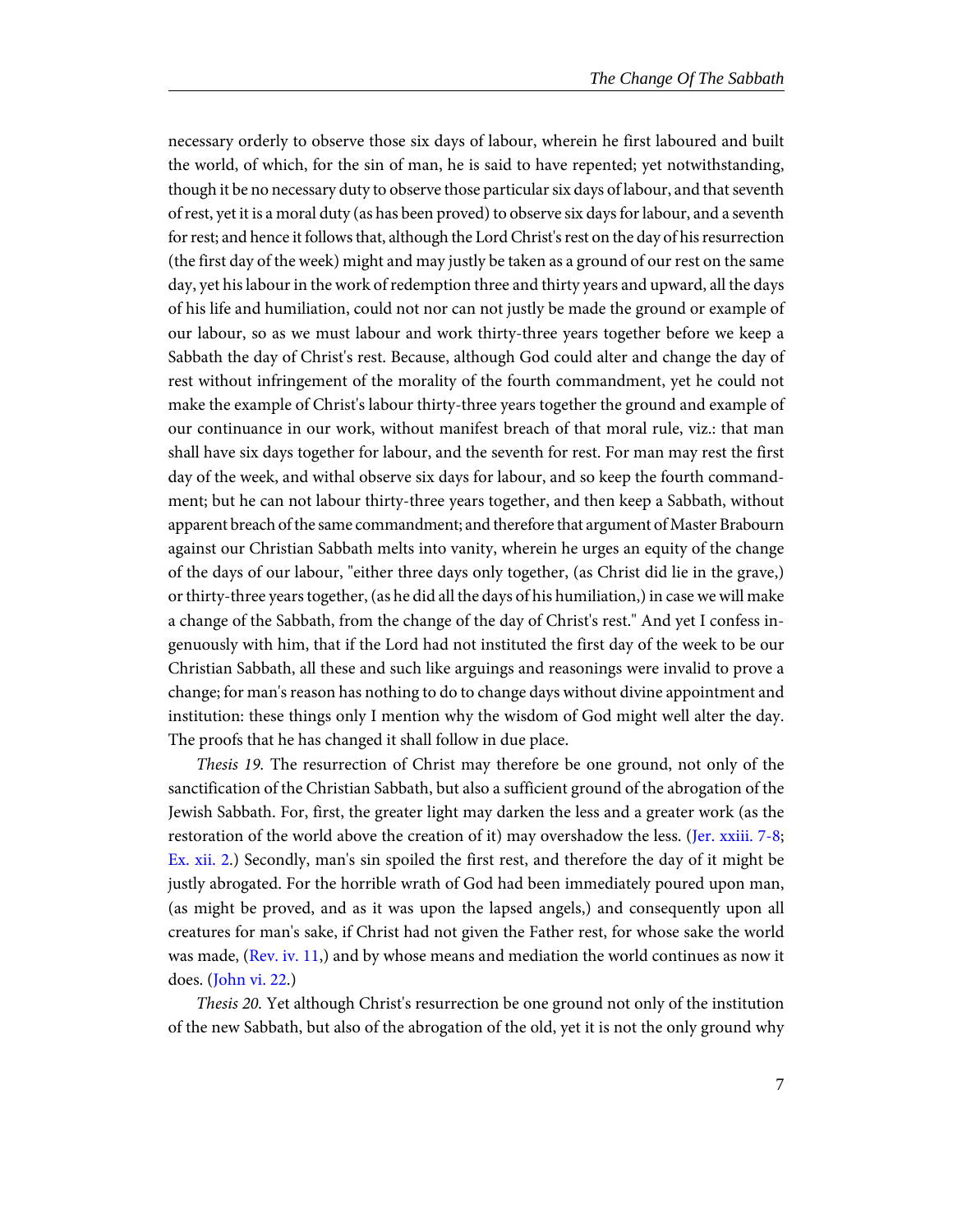necessary orderly to observe those six days of labour, wherein he first laboured and built the world, of which, for the sin of man, he is said to have repented; yet notwithstanding, though it be no necessary duty to observe those particular six days of labour, and that seventh of rest, yet it is a moral duty (as has been proved) to observe six days for labour, and a seventh for rest; and hence it follows that, although the Lord Christ's rest on the day of his resurrection (the first day of the week) might and may justly be taken as a ground of our rest on the same day, yet his labour in the work of redemption three and thirty years and upward, all the days of his life and humiliation, could not nor can not justly be made the ground or example of our labour, so as we must labour and work thirty-three years together before we keep a Sabbath the day of Christ's rest. Because, although God could alter and change the day of rest without infringement of the morality of the fourth commandment, yet he could not make the example of Christ's labour thirty-three years together the ground and example of our continuance in our work, without manifest breach of that moral rule, viz.: that man shall have six days together for labour, and the seventh for rest. For man may rest the first day of the week, and withal observe six days for labour, and so keep the fourth commandment; but he can not labour thirty-three years together, and then keep a Sabbath, without apparent breach of the same commandment; and therefore that argument of Master Brabourn against our Christian Sabbath melts into vanity, wherein he urges an equity of the change of the days of our labour, "either three days only together, (as Christ did lie in the grave,) or thirty-three years together, (as he did all the days of his humiliation,) in case we will make a change of the Sabbath, from the change of the day of Christ's rest." And yet I confess ingenuously with him, that if the Lord had not instituted the first day of the week to be our Christian Sabbath, all these and such like arguings and reasonings were invalid to prove a change; for man's reason has nothing to do to change days without divine appointment and institution: these things only I mention why the wisdom of God might well alter the day. The proofs that he has changed it shall follow in due place.

<span id="page-10-3"></span><span id="page-10-2"></span><span id="page-10-1"></span><span id="page-10-0"></span>Thesis 19. The resurrection of Christ may therefore be one ground, not only of the sanctification of the Christian Sabbath, but also a sufficient ground of the abrogation of the Jewish Sabbath. For, first, the greater light may darken the less and a greater work (as the restoration of the world above the creation of it) may overshadow the less. ([Jer. xxiii. 7-8;](http://www.ccel.org/study/Bible:Jer.23.7-Jer.23.8) [Ex. xii. 2](http://www.ccel.org/study/Bible:Exod.12.2).) Secondly, man's sin spoiled the first rest, and therefore the day of it might be justly abrogated. For the horrible wrath of God had been immediately poured upon man, (as might be proved, and as it was upon the lapsed angels,) and consequently upon all creatures for man's sake, if Christ had not given the Father rest, for whose sake the world was made, [\(Rev. iv. 11](http://www.ccel.org/study/Bible:Rev.4.11),) and by whose means and mediation the world continues as now it does. ([John vi. 22](http://www.ccel.org/study/Bible:John.6.22).)

Thesis 20. Yet although Christ's resurrection be one ground not only of the institution of the new Sabbath, but also of the abrogation of the old, yet it is not the only ground why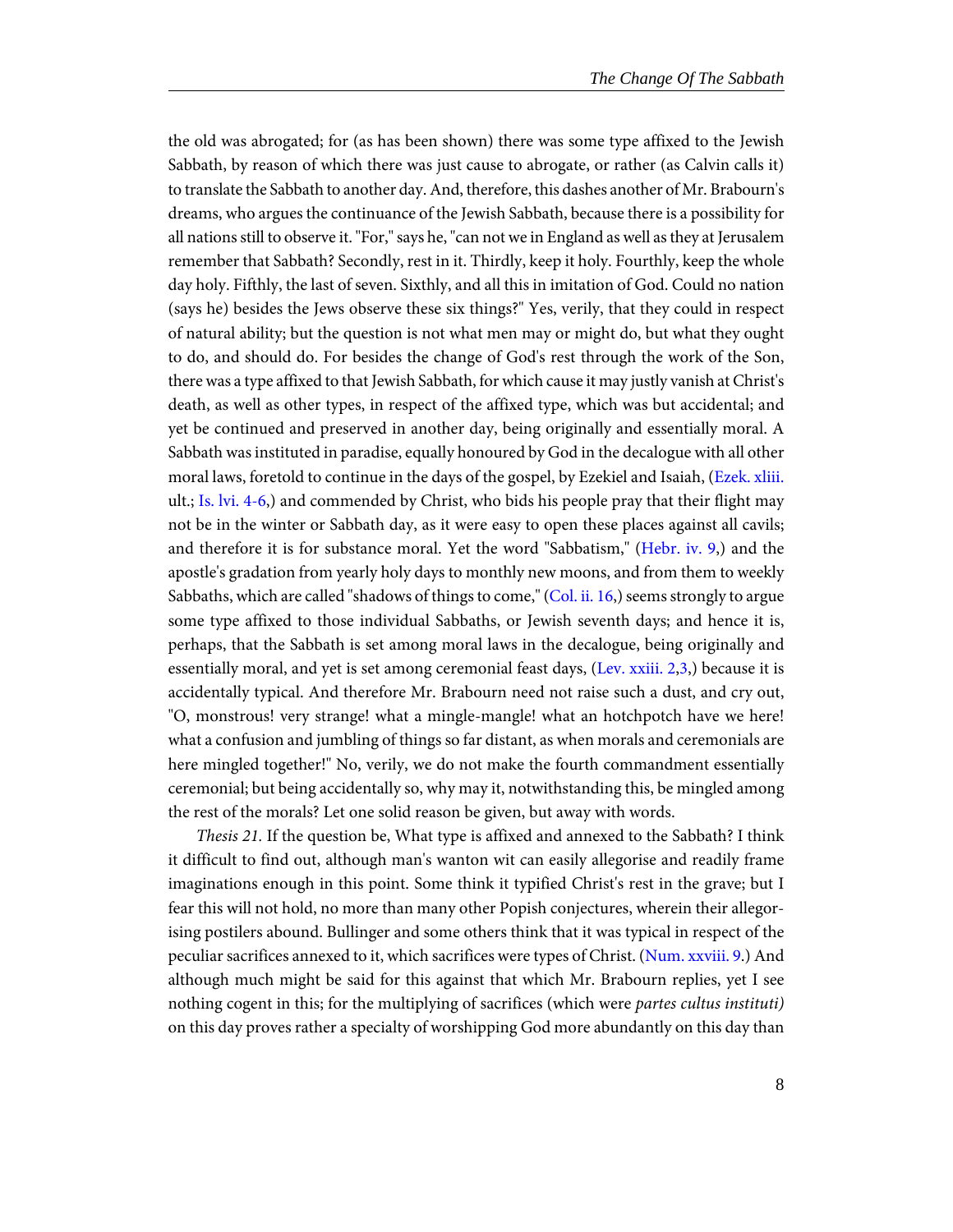<span id="page-11-3"></span><span id="page-11-2"></span>the old was abrogated; for (as has been shown) there was some type affixed to the Jewish Sabbath, by reason of which there was just cause to abrogate, or rather (as Calvin calls it) to translate the Sabbath to another day. And, therefore, this dashes another of Mr. Brabourn's dreams, who argues the continuance of the Jewish Sabbath, because there is a possibility for all nations still to observe it. "For," says he, "can not we in England as well as they at Jerusalem remember that Sabbath? Secondly, rest in it. Thirdly, keep it holy. Fourthly, keep the whole day holy. Fifthly, the last of seven. Sixthly, and all this in imitation of God. Could no nation (says he) besides the Jews observe these six things?" Yes, verily, that they could in respect of natural ability; but the question is not what men may or might do, but what they ought to do, and should do. For besides the change of God's rest through the work of the Son, there was a type affixed to that Jewish Sabbath, for which cause it may justly vanish at Christ's death, as well as other types, in respect of the affixed type, which was but accidental; and yet be continued and preserved in another day, being originally and essentially moral. A Sabbath was instituted in paradise, equally honoured by God in the decalogue with all other moral laws, foretold to continue in the days of the gospel, by Ezekiel and Isaiah, [\(Ezek. xliii.](http://www.ccel.org/study/Bible:Ezek.43) ult.; [Is. lvi. 4-6,](http://www.ccel.org/study/Bible:Isa.56.4-Isa.56.6)) and commended by Christ, who bids his people pray that their flight may not be in the winter or Sabbath day, as it were easy to open these places against all cavils; and therefore it is for substance moral. Yet the word "Sabbatism," [\(Hebr. iv. 9](http://www.ccel.org/study/Bible:Heb.4.9),) and the apostle's gradation from yearly holy days to monthly new moons, and from them to weekly Sabbaths, which are called "shadows of things to come," [\(Col. ii. 16](http://www.ccel.org/study/Bible:Col.2.16),) seems strongly to argue some type affixed to those individual Sabbaths, or Jewish seventh days; and hence it is, perhaps, that the Sabbath is set among moral laws in the decalogue, being originally and essentially moral, and yet is set among ceremonial feast days, ([Lev. xxiii. 2](http://www.ccel.org/study/Bible:Lev.23.2),[3](http://www.ccel.org/study/Bible:Lev.23.3),) because it is accidentally typical. And therefore Mr. Brabourn need not raise such a dust, and cry out, "O, monstrous! very strange! what a mingle-mangle! what an hotchpotch have we here! what a confusion and jumbling of things so far distant, as when morals and ceremonials are here mingled together!" No, verily, we do not make the fourth commandment essentially ceremonial; but being accidentally so, why may it, notwithstanding this, be mingled among the rest of the morals? Let one solid reason be given, but away with words.

<span id="page-11-5"></span><span id="page-11-4"></span><span id="page-11-1"></span><span id="page-11-0"></span>Thesis 21. If the question be, What type is affixed and annexed to the Sabbath? I think it difficult to find out, although man's wanton wit can easily allegorise and readily frame imaginations enough in this point. Some think it typified Christ's rest in the grave; but I fear this will not hold, no more than many other Popish conjectures, wherein their allegorising postilers abound. Bullinger and some others think that it was typical in respect of the peculiar sacrifices annexed to it, which sacrifices were types of Christ. ([Num. xxviii. 9](http://www.ccel.org/study/Bible:Num.28.9).) And although much might be said for this against that which Mr. Brabourn replies, yet I see nothing cogent in this; for the multiplying of sacrifices (which were *partes cultus instituti)* on this day proves rather a specialty of worshipping God more abundantly on this day than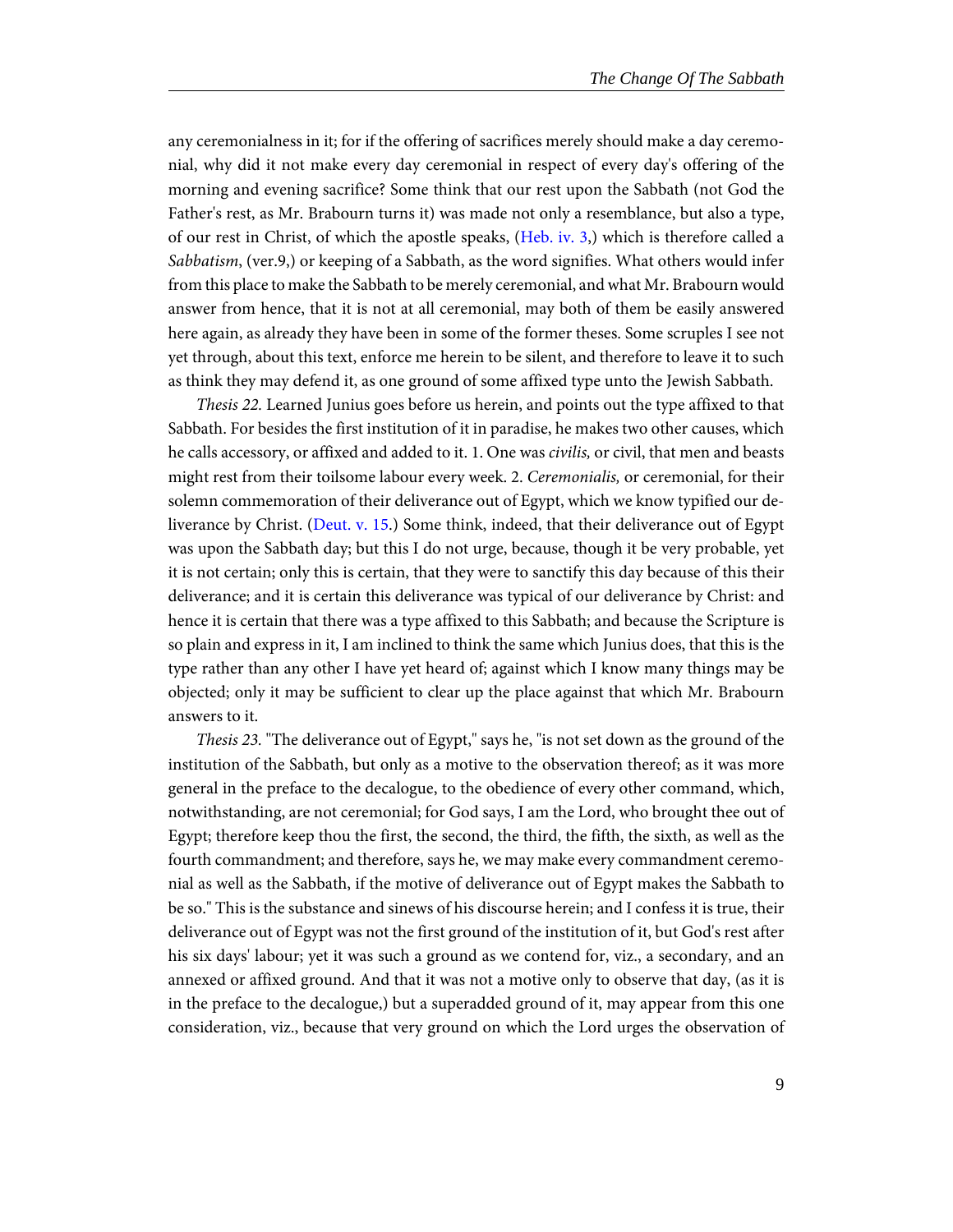<span id="page-12-1"></span>any ceremonialness in it; for if the offering of sacrifices merely should make a day ceremonial, why did it not make every day ceremonial in respect of every day's offering of the morning and evening sacrifice? Some think that our rest upon the Sabbath (not God the Father's rest, as Mr. Brabourn turns it) was made not only a resemblance, but also a type, of our rest in Christ, of which the apostle speaks, [\(Heb. iv. 3,](http://www.ccel.org/study/Bible:Heb.4.3)) which is therefore called a Sabbatism, (ver.9,) or keeping of a Sabbath, as the word signifies. What others would infer from this place to make the Sabbath to be merely ceremonial, and what Mr. Brabourn would answer from hence, that it is not at all ceremonial, may both of them be easily answered here again, as already they have been in some of the former theses. Some scruples I see not yet through, about this text, enforce me herein to be silent, and therefore to leave it to such as think they may defend it, as one ground of some affixed type unto the Jewish Sabbath.

<span id="page-12-0"></span>Thesis 22. Learned Junius goes before us herein, and points out the type affixed to that Sabbath. For besides the first institution of it in paradise, he makes two other causes, which he calls accessory, or affixed and added to it. 1. One was *civilis*, or civil, that men and beasts might rest from their toilsome labour every week. 2. Ceremonialis, or ceremonial, for their solemn commemoration of their deliverance out of Egypt, which we know typified our deliverance by Christ. [\(Deut. v. 15.](http://www.ccel.org/study/Bible:Deut.5.15)) Some think, indeed, that their deliverance out of Egypt was upon the Sabbath day; but this I do not urge, because, though it be very probable, yet it is not certain; only this is certain, that they were to sanctify this day because of this their deliverance; and it is certain this deliverance was typical of our deliverance by Christ: and hence it is certain that there was a type affixed to this Sabbath; and because the Scripture is so plain and express in it, I am inclined to think the same which Junius does, that this is the type rather than any other I have yet heard of; against which I know many things may be objected; only it may be sufficient to clear up the place against that which Mr. Brabourn answers to it.

Thesis 23. "The deliverance out of Egypt," says he, "is not set down as the ground of the institution of the Sabbath, but only as a motive to the observation thereof; as it was more general in the preface to the decalogue, to the obedience of every other command, which, notwithstanding, are not ceremonial; for God says, I am the Lord, who brought thee out of Egypt; therefore keep thou the first, the second, the third, the fifth, the sixth, as well as the fourth commandment; and therefore, says he, we may make every commandment ceremonial as well as the Sabbath, if the motive of deliverance out of Egypt makes the Sabbath to be so." This is the substance and sinews of his discourse herein; and I confess it is true, their deliverance out of Egypt was not the first ground of the institution of it, but God's rest after his six days' labour; yet it was such a ground as we contend for, viz., a secondary, and an annexed or affixed ground. And that it was not a motive only to observe that day, (as it is in the preface to the decalogue,) but a superadded ground of it, may appear from this one consideration, viz., because that very ground on which the Lord urges the observation of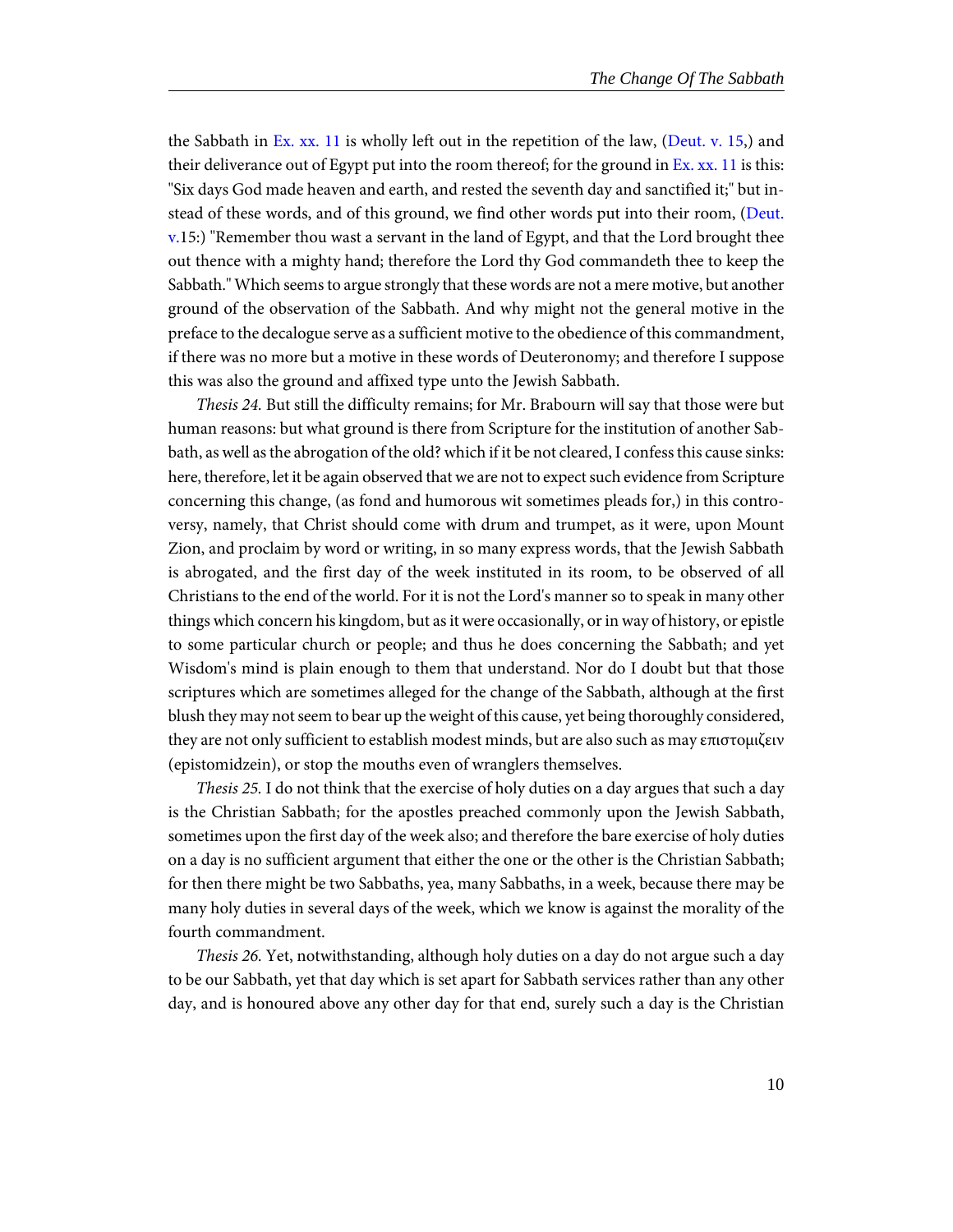<span id="page-13-2"></span><span id="page-13-1"></span><span id="page-13-0"></span>the Sabbath in [Ex. xx. 11](http://www.ccel.org/study/Bible:Exod.20.11) is wholly left out in the repetition of the law, [\(Deut. v. 15,](http://www.ccel.org/study/Bible:Deut.5.15)) and their deliverance out of Egypt put into the room thereof; for the ground in Ex.  $xx$ . 11 is this: "Six days God made heaven and earth, and rested the seventh day and sanctified it;" but instead of these words, and of this ground, we find other words put into their room, ([Deut.](http://www.ccel.org/study/Bible:Deut.5) [v.1](http://www.ccel.org/study/Bible:Deut.5)5:) "Remember thou wast a servant in the land of Egypt, and that the Lord brought thee out thence with a mighty hand; therefore the Lord thy God commandeth thee to keep the Sabbath." Which seems to argue strongly that these words are not a mere motive, but another ground of the observation of the Sabbath. And why might not the general motive in the preface to the decalogue serve as a sufficient motive to the obedience of this commandment, if there was no more but a motive in these words of Deuteronomy; and therefore I suppose this was also the ground and affixed type unto the Jewish Sabbath.

Thesis 24. But still the difficulty remains; for Mr. Brabourn will say that those were but human reasons: but what ground is there from Scripture for the institution of another Sabbath, as well as the abrogation of the old? which if it be not cleared, I confess this cause sinks: here, therefore, let it be again observed that we are not to expect such evidence from Scripture concerning this change, (as fond and humorous wit sometimes pleads for,) in this controversy, namely, that Christ should come with drum and trumpet, as it were, upon Mount Zion, and proclaim by word or writing, in so many express words, that the Jewish Sabbath is abrogated, and the first day of the week instituted in its room, to be observed of all Christians to the end of the world. For it is not the Lord's manner so to speak in many other things which concern his kingdom, but as it were occasionally, or in way of history, or epistle to some particular church or people; and thus he does concerning the Sabbath; and yet Wisdom's mind is plain enough to them that understand. Nor do I doubt but that those scriptures which are sometimes alleged for the change of the Sabbath, although at the first blush they may not seem to bear up the weight of this cause, yet being thoroughly considered, they are not only sufficient to establish modest minds, but are also such as may επιστομιζειν (epistomidzein), or stop the mouths even of wranglers themselves.

Thesis 25. I do not think that the exercise of holy duties on a day argues that such a day is the Christian Sabbath; for the apostles preached commonly upon the Jewish Sabbath, sometimes upon the first day of the week also; and therefore the bare exercise of holy duties on a day is no sufficient argument that either the one or the other is the Christian Sabbath; for then there might be two Sabbaths, yea, many Sabbaths, in a week, because there may be many holy duties in several days of the week, which we know is against the morality of the fourth commandment.

Thesis 26. Yet, notwithstanding, although holy duties on a day do not argue such a day to be our Sabbath, yet that day which is set apart for Sabbath services rather than any other day, and is honoured above any other day for that end, surely such a day is the Christian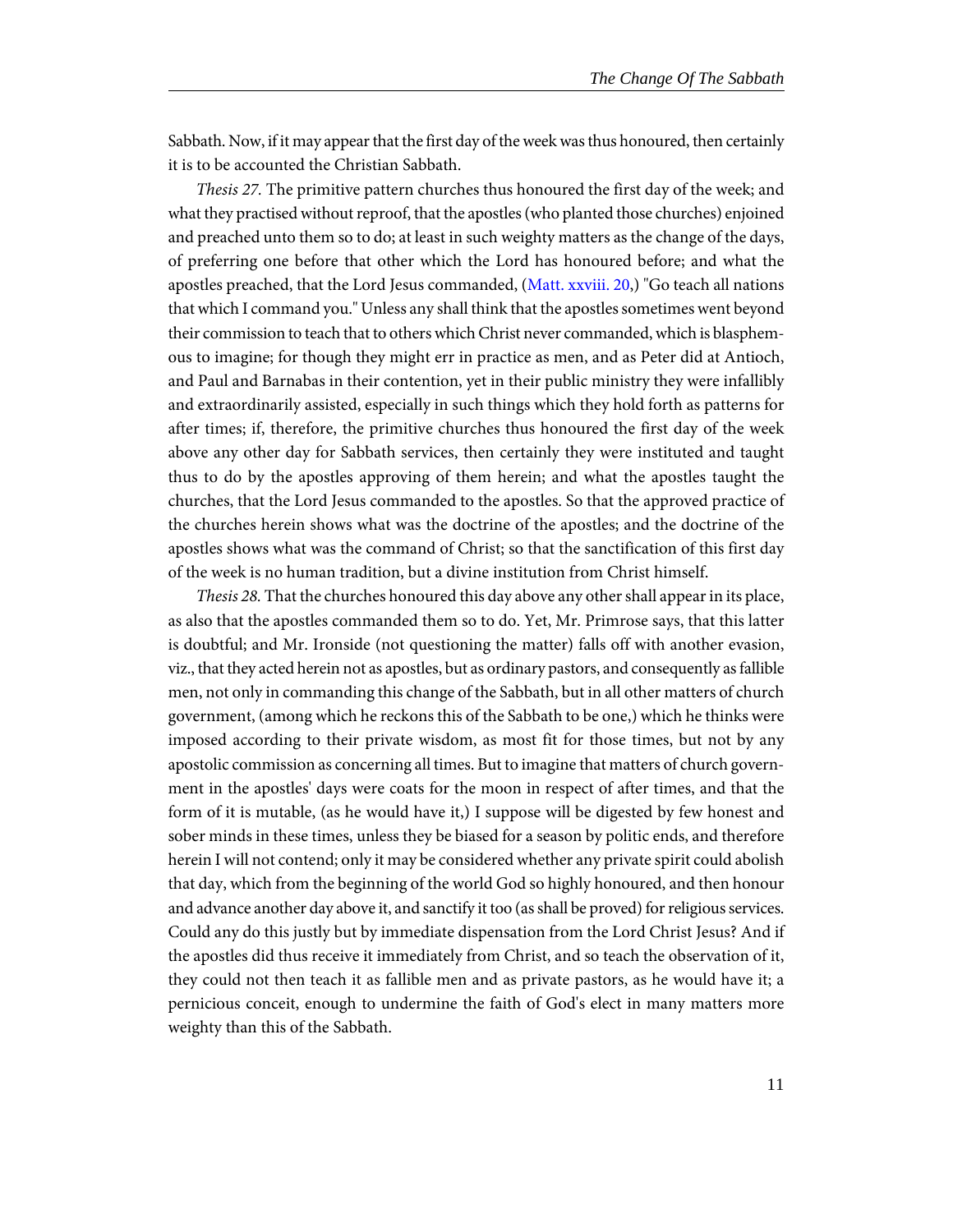Sabbath. Now, if it may appear that the first day of the week was thus honoured, then certainly it is to be accounted the Christian Sabbath.

<span id="page-14-0"></span>Thesis 27. The primitive pattern churches thus honoured the first day of the week; and what they practised without reproof, that the apostles (who planted those churches) enjoined and preached unto them so to do; at least in such weighty matters as the change of the days, of preferring one before that other which the Lord has honoured before; and what the apostles preached, that the Lord Jesus commanded, ([Matt. xxviii. 20,](http://www.ccel.org/study/Bible:Matt.28.20)) "Go teach all nations that which I command you." Unless any shall think that the apostles sometimes went beyond their commission to teach that to others which Christ never commanded, which is blasphemous to imagine; for though they might err in practice as men, and as Peter did at Antioch, and Paul and Barnabas in their contention, yet in their public ministry they were infallibly and extraordinarily assisted, especially in such things which they hold forth as patterns for after times; if, therefore, the primitive churches thus honoured the first day of the week above any other day for Sabbath services, then certainly they were instituted and taught thus to do by the apostles approving of them herein; and what the apostles taught the churches, that the Lord Jesus commanded to the apostles. So that the approved practice of the churches herein shows what was the doctrine of the apostles; and the doctrine of the apostles shows what was the command of Christ; so that the sanctification of this first day of the week is no human tradition, but a divine institution from Christ himself.

Thesis 28. That the churches honoured this day above any other shall appear in its place, as also that the apostles commanded them so to do. Yet, Mr. Primrose says, that this latter is doubtful; and Mr. Ironside (not questioning the matter) falls off with another evasion, viz., that they acted herein not as apostles, but as ordinary pastors, and consequently as fallible men, not only in commanding this change of the Sabbath, but in all other matters of church government, (among which he reckons this of the Sabbath to be one,) which he thinks were imposed according to their private wisdom, as most fit for those times, but not by any apostolic commission as concerning all times. But to imagine that matters of church government in the apostles' days were coats for the moon in respect of after times, and that the form of it is mutable, (as he would have it,) I suppose will be digested by few honest and sober minds in these times, unless they be biased for a season by politic ends, and therefore herein I will not contend; only it may be considered whether any private spirit could abolish that day, which from the beginning of the world God so highly honoured, and then honour and advance another day above it, and sanctify it too (as shall be proved) for religious services. Could any do this justly but by immediate dispensation from the Lord Christ Jesus? And if the apostles did thus receive it immediately from Christ, and so teach the observation of it, they could not then teach it as fallible men and as private pastors, as he would have it; a pernicious conceit, enough to undermine the faith of God's elect in many matters more weighty than this of the Sabbath.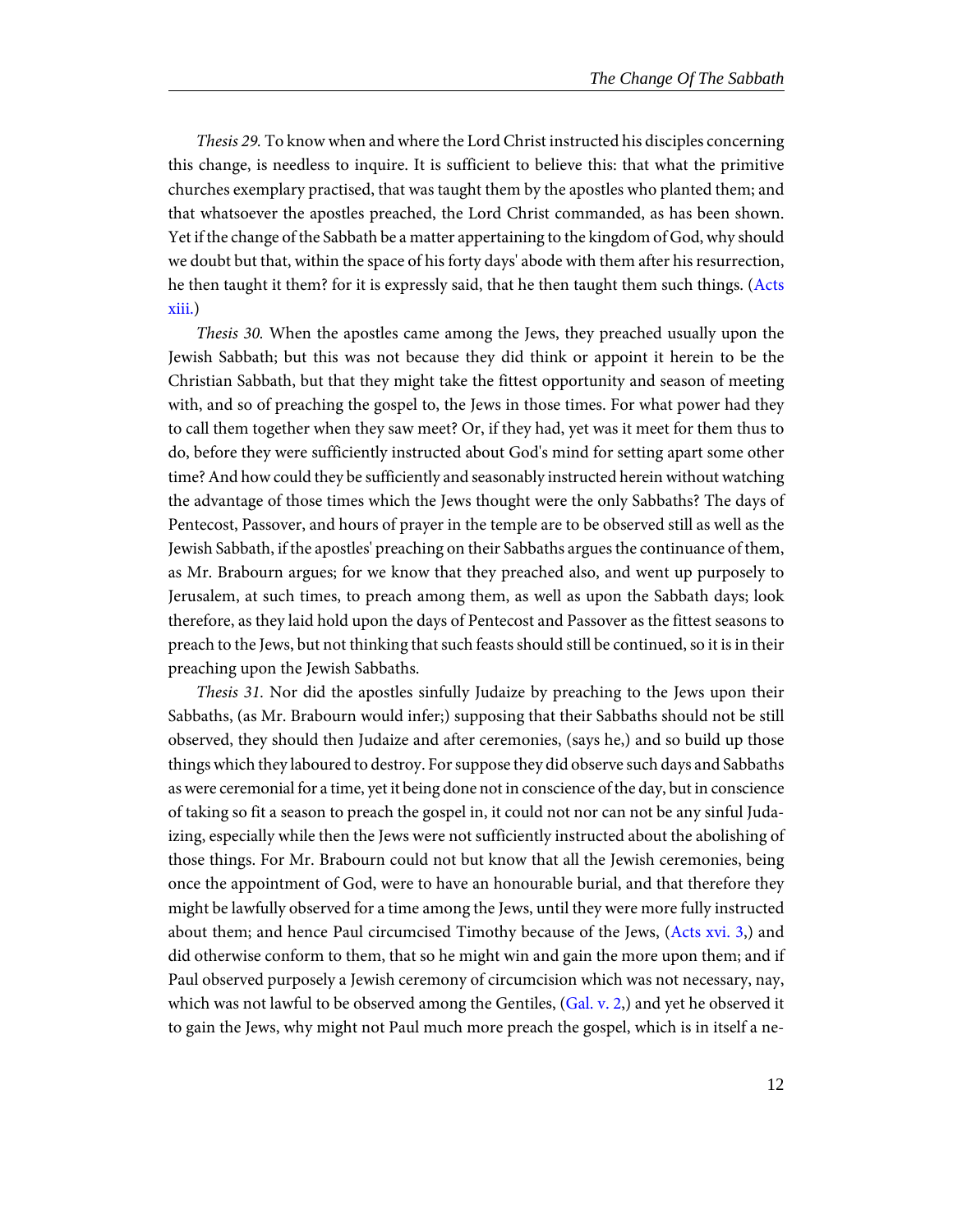Thesis 29. To know when and where the Lord Christ instructed his disciples concerning this change, is needless to inquire. It is sufficient to believe this: that what the primitive churches exemplary practised, that was taught them by the apostles who planted them; and that whatsoever the apostles preached, the Lord Christ commanded, as has been shown. Yet if the change of the Sabbath be a matter appertaining to the kingdom of God, why should we doubt but that, within the space of his forty days' abode with them after his resurrection, he then taught it them? for it is expressly said, that he then taught them such things. [\(Acts](http://www.ccel.org/study/Bible:Acts.13) [xiii.](http://www.ccel.org/study/Bible:Acts.13))

<span id="page-15-0"></span>Thesis 30. When the apostles came among the Jews, they preached usually upon the Jewish Sabbath; but this was not because they did think or appoint it herein to be the Christian Sabbath, but that they might take the fittest opportunity and season of meeting with, and so of preaching the gospel to, the Jews in those times. For what power had they to call them together when they saw meet? Or, if they had, yet was it meet for them thus to do, before they were sufficiently instructed about God's mind for setting apart some other time? And how could they be sufficiently and seasonably instructed herein without watching the advantage of those times which the Jews thought were the only Sabbaths? The days of Pentecost, Passover, and hours of prayer in the temple are to be observed still as well as the Jewish Sabbath, if the apostles' preaching on their Sabbaths argues the continuance of them, as Mr. Brabourn argues; for we know that they preached also, and went up purposely to Jerusalem, at such times, to preach among them, as well as upon the Sabbath days; look therefore, as they laid hold upon the days of Pentecost and Passover as the fittest seasons to preach to the Jews, but not thinking that such feasts should still be continued, so it is in their preaching upon the Jewish Sabbaths.

<span id="page-15-2"></span><span id="page-15-1"></span>Thesis 31. Nor did the apostles sinfully Judaize by preaching to the Jews upon their Sabbaths, (as Mr. Brabourn would infer;) supposing that their Sabbaths should not be still observed, they should then Judaize and after ceremonies, (says he,) and so build up those things which they laboured to destroy. For suppose they did observe such days and Sabbaths as were ceremonial for a time, yet it being done not in conscience of the day, but in conscience of taking so fit a season to preach the gospel in, it could not nor can not be any sinful Judaizing, especially while then the Jews were not sufficiently instructed about the abolishing of those things. For Mr. Brabourn could not but know that all the Jewish ceremonies, being once the appointment of God, were to have an honourable burial, and that therefore they might be lawfully observed for a time among the Jews, until they were more fully instructed about them; and hence Paul circumcised Timothy because of the Jews, ([Acts xvi. 3,](http://www.ccel.org/study/Bible:Acts.16.3)) and did otherwise conform to them, that so he might win and gain the more upon them; and if Paul observed purposely a Jewish ceremony of circumcision which was not necessary, nay, which was not lawful to be observed among the Gentiles, ([Gal. v. 2](http://www.ccel.org/study/Bible:Gal.5.2),) and yet he observed it to gain the Jews, why might not Paul much more preach the gospel, which is in itself a ne-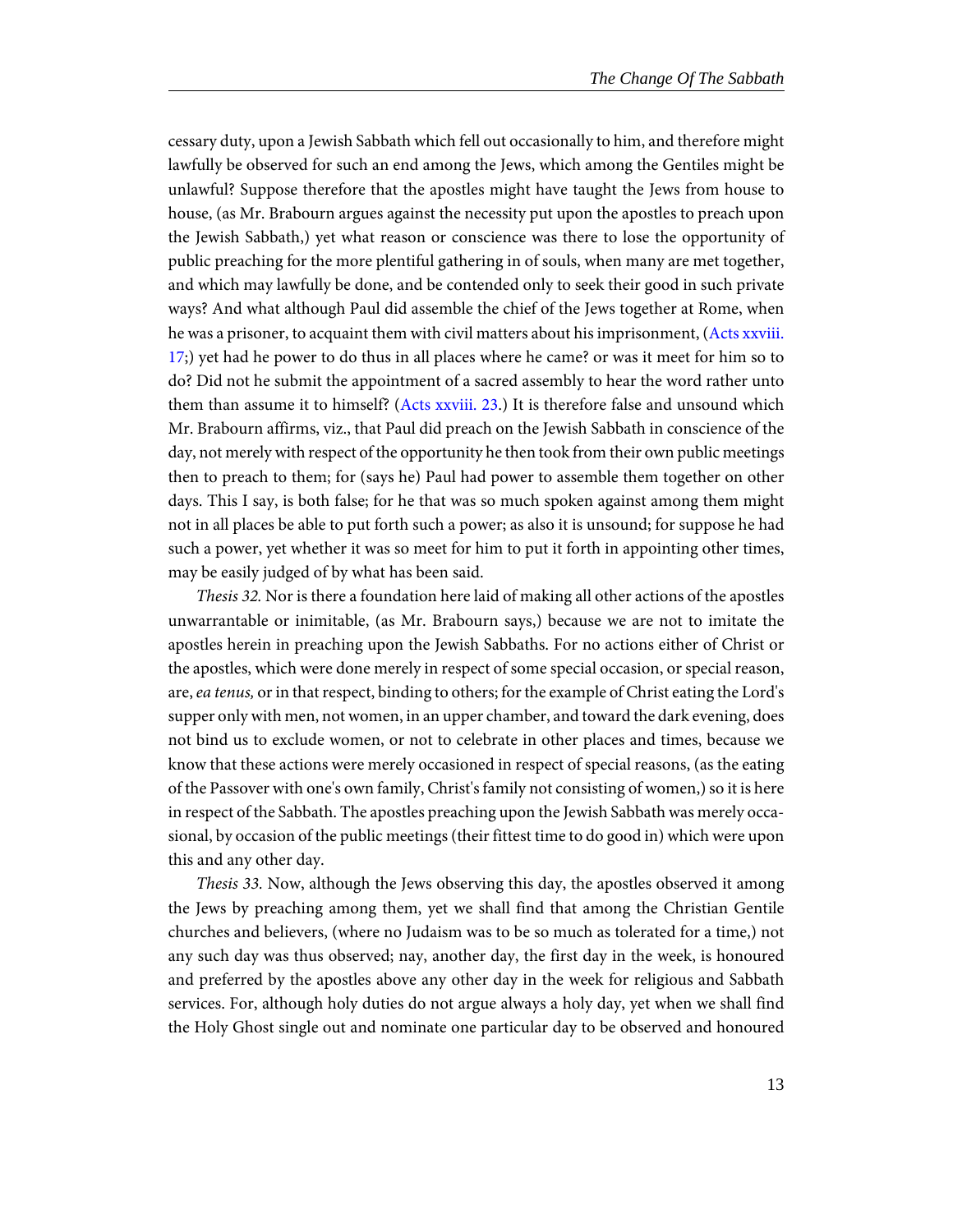<span id="page-16-1"></span><span id="page-16-0"></span>cessary duty, upon a Jewish Sabbath which fell out occasionally to him, and therefore might lawfully be observed for such an end among the Jews, which among the Gentiles might be unlawful? Suppose therefore that the apostles might have taught the Jews from house to house, (as Mr. Brabourn argues against the necessity put upon the apostles to preach upon the Jewish Sabbath,) yet what reason or conscience was there to lose the opportunity of public preaching for the more plentiful gathering in of souls, when many are met together, and which may lawfully be done, and be contended only to seek their good in such private ways? And what although Paul did assemble the chief of the Jews together at Rome, when he was a prisoner, to acquaint them with civil matters about his imprisonment, ([Acts xxviii.](http://www.ccel.org/study/Bible:Acts.28.17) [17;](http://www.ccel.org/study/Bible:Acts.28.17)) yet had he power to do thus in all places where he came? or was it meet for him so to do? Did not he submit the appointment of a sacred assembly to hear the word rather unto them than assume it to himself? [\(Acts xxviii. 23](http://www.ccel.org/study/Bible:Acts.28.23).) It is therefore false and unsound which Mr. Brabourn affirms, viz., that Paul did preach on the Jewish Sabbath in conscience of the day, not merely with respect of the opportunity he then took from their own public meetings then to preach to them; for (says he) Paul had power to assemble them together on other days. This I say, is both false; for he that was so much spoken against among them might not in all places be able to put forth such a power; as also it is unsound; for suppose he had such a power, yet whether it was so meet for him to put it forth in appointing other times, may be easily judged of by what has been said.

Thesis 32. Nor is there a foundation here laid of making all other actions of the apostles unwarrantable or inimitable, (as Mr. Brabourn says,) because we are not to imitate the apostles herein in preaching upon the Jewish Sabbaths. For no actions either of Christ or the apostles, which were done merely in respect of some special occasion, or special reason, are, ea tenus, or in that respect, binding to others; for the example of Christ eating the Lord's supper only with men, not women, in an upper chamber, and toward the dark evening, does not bind us to exclude women, or not to celebrate in other places and times, because we know that these actions were merely occasioned in respect of special reasons, (as the eating of the Passover with one's own family, Christ's family not consisting of women,) so it is here in respect of the Sabbath. The apostles preaching upon the Jewish Sabbath was merely occasional, by occasion of the public meetings (their fittest time to do good in) which were upon this and any other day.

Thesis 33. Now, although the Jews observing this day, the apostles observed it among the Jews by preaching among them, yet we shall find that among the Christian Gentile churches and believers, (where no Judaism was to be so much as tolerated for a time,) not any such day was thus observed; nay, another day, the first day in the week, is honoured and preferred by the apostles above any other day in the week for religious and Sabbath services. For, although holy duties do not argue always a holy day, yet when we shall find the Holy Ghost single out and nominate one particular day to be observed and honoured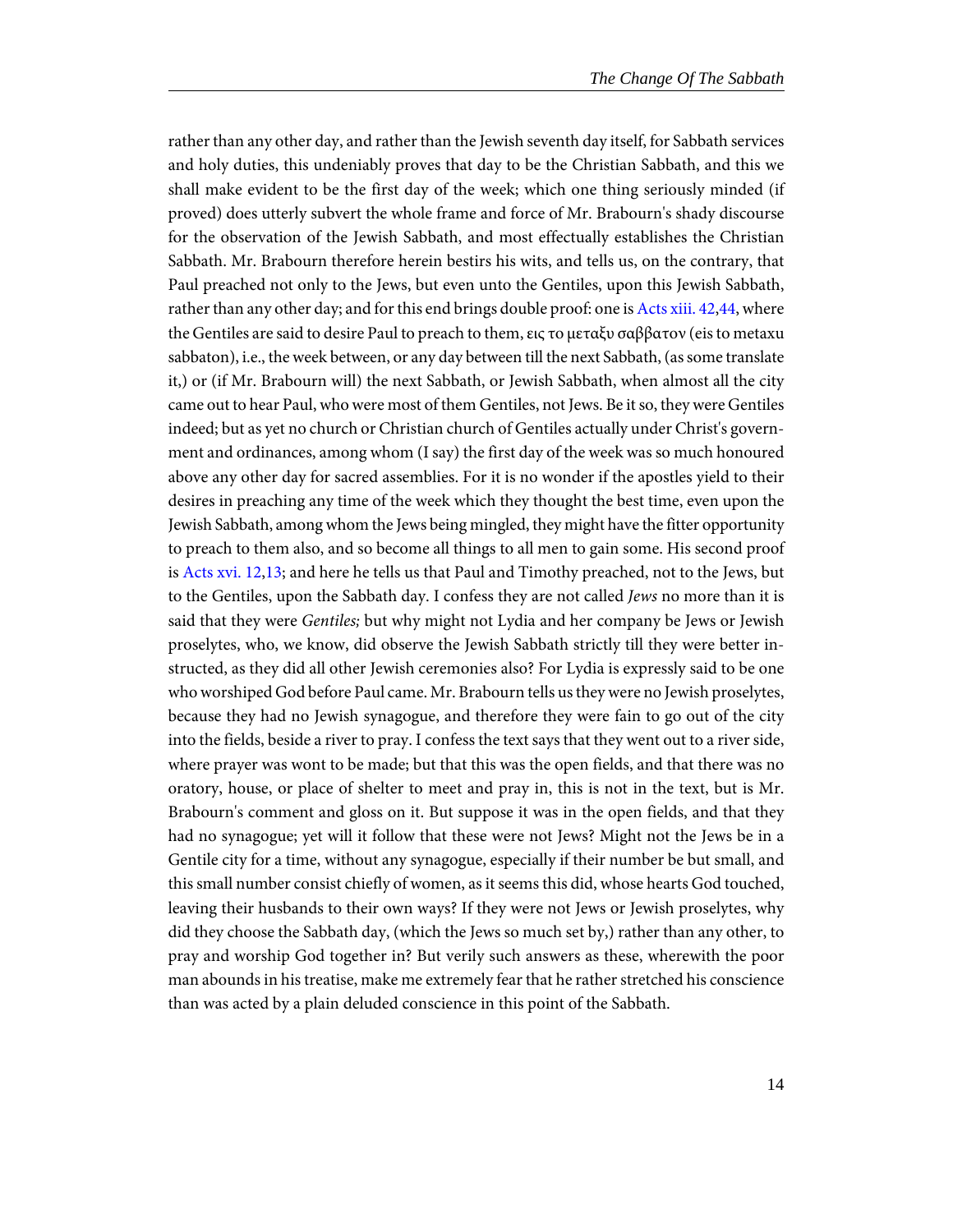<span id="page-17-1"></span><span id="page-17-0"></span>rather than any other day, and rather than the Jewish seventh day itself, for Sabbath services and holy duties, this undeniably proves that day to be the Christian Sabbath, and this we shall make evident to be the first day of the week; which one thing seriously minded (if proved) does utterly subvert the whole frame and force of Mr. Brabourn's shady discourse for the observation of the Jewish Sabbath, and most effectually establishes the Christian Sabbath. Mr. Brabourn therefore herein bestirs his wits, and tells us, on the contrary, that Paul preached not only to the Jews, but even unto the Gentiles, upon this Jewish Sabbath, rather than any other day; and for this end brings double proof: one is [Acts xiii. 42,](http://www.ccel.org/study/Bible:Acts.13.42)[44,](http://www.ccel.org/study/Bible:Acts.13.44) where the Gentiles are said to desire Paul to preach to them, εις το μεταξυ σαββατον (eis to metaxu sabbaton), i.e., the week between, or any day between till the next Sabbath, (as some translate it,) or (if Mr. Brabourn will) the next Sabbath, or Jewish Sabbath, when almost all the city came out to hear Paul, who were most of them Gentiles, not Jews. Be it so, they were Gentiles indeed; but as yet no church or Christian church of Gentiles actually under Christ's government and ordinances, among whom (I say) the first day of the week was so much honoured above any other day for sacred assemblies. For it is no wonder if the apostles yield to their desires in preaching any time of the week which they thought the best time, even upon the Jewish Sabbath, among whom the Jews being mingled, they might have the fitter opportunity to preach to them also, and so become all things to all men to gain some. His second proof is [Acts xvi. 12](http://www.ccel.org/study/Bible:Acts.16.12),[13](http://www.ccel.org/study/Bible:Acts.16.13); and here he tells us that Paul and Timothy preached, not to the Jews, but to the Gentiles, upon the Sabbath day. I confess they are not called *Jews* no more than it is said that they were Gentiles; but why might not Lydia and her company be Jews or Jewish proselytes, who, we know, did observe the Jewish Sabbath strictly till they were better instructed, as they did all other Jewish ceremonies also? For Lydia is expressly said to be one who worshiped God before Paul came. Mr. Brabourn tells us they were no Jewish proselytes, because they had no Jewish synagogue, and therefore they were fain to go out of the city into the fields, beside a river to pray. I confess the text says that they went out to a river side, where prayer was wont to be made; but that this was the open fields, and that there was no oratory, house, or place of shelter to meet and pray in, this is not in the text, but is Mr. Brabourn's comment and gloss on it. But suppose it was in the open fields, and that they had no synagogue; yet will it follow that these were not Jews? Might not the Jews be in a Gentile city for a time, without any synagogue, especially if their number be but small, and this small number consist chiefly of women, as it seems this did, whose hearts God touched, leaving their husbands to their own ways? If they were not Jews or Jewish proselytes, why did they choose the Sabbath day, (which the Jews so much set by,) rather than any other, to pray and worship God together in? But verily such answers as these, wherewith the poor man abounds in his treatise, make me extremely fear that he rather stretched his conscience than was acted by a plain deluded conscience in this point of the Sabbath.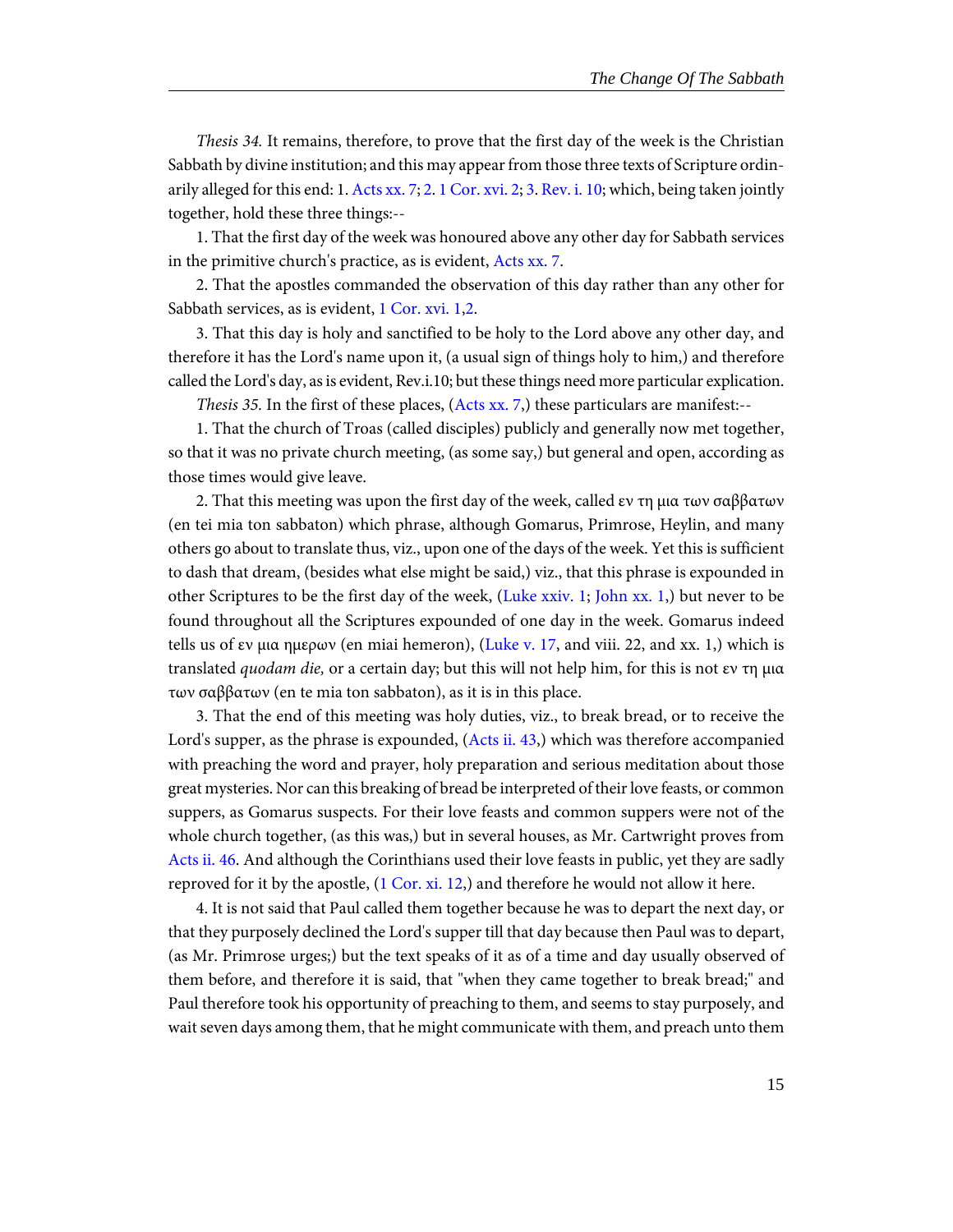<span id="page-18-2"></span>Thesis 34. It remains, therefore, to prove that the first day of the week is the Christian Sabbath by divine institution; and this may appear from those three texts of Scripture ordinarily alleged for this end: 1. [Acts xx. 7;](http://www.ccel.org/study/Bible:Acts.20.7) [2.](http://www.ccel.org/study/Bible:Acts.2) [1 Cor. xvi. 2;](http://www.ccel.org/study/Bible:1Cor.16.2) [3.](http://www.ccel.org/study/Bible:1Cor.3) [Rev. i. 10;](http://www.ccel.org/study/Bible:Rev.1.10) which, being taken jointly together, hold these three things:--

<span id="page-18-5"></span>1. That the first day of the week was honoured above any other day for Sabbath services in the primitive church's practice, as is evident, [Acts xx. 7.](http://www.ccel.org/study/Bible:Acts.20.7)

<span id="page-18-8"></span>2. That the apostles commanded the observation of this day rather than any other for Sabbath services, as is evident, [1 Cor. xvi. 1,](http://www.ccel.org/study/Bible:1Cor.16.1)[2](http://www.ccel.org/study/Bible:1Cor.16.2).

<span id="page-18-6"></span>3. That this day is holy and sanctified to be holy to the Lord above any other day, and therefore it has the Lord's name upon it, (a usual sign of things holy to him,) and therefore called the Lord's day, as is evident, Rev.i.10; but these things need more particular explication.

Thesis 35. In the first of these places, [\(Acts xx. 7,](http://www.ccel.org/study/Bible:Acts.20.7)) these particulars are manifest:--

1. That the church of Troas (called disciples) publicly and generally now met together, so that it was no private church meeting, (as some say,) but general and open, according as those times would give leave.

<span id="page-18-1"></span><span id="page-18-0"></span>2. That this meeting was upon the first day of the week, called εν τη μια των σαββατων (en tei mia ton sabbaton) which phrase, although Gomarus, Primrose, Heylin, and many others go about to translate thus, viz., upon one of the days of the week. Yet this is sufficient to dash that dream, (besides what else might be said,) viz., that this phrase is expounded in other Scriptures to be the first day of the week, [\(Luke xxiv. 1](http://www.ccel.org/study/Bible:Luke.24.1); [John xx. 1,](http://www.ccel.org/study/Bible:John.20.1)) but never to be found throughout all the Scriptures expounded of one day in the week. Gomarus indeed tells us of εν μια ημερων (en miai hemeron), ([Luke v. 17](http://www.ccel.org/study/Bible:Luke.5.17), and viii. 22, and xx. 1,) which is translated *quodam die*, or a certain day; but this will not help him, for this is not εν τη μια των σαββατων (en te mia ton sabbaton), as it is in this place.

<span id="page-18-7"></span><span id="page-18-4"></span><span id="page-18-3"></span>3. That the end of this meeting was holy duties, viz., to break bread, or to receive the Lord's supper, as the phrase is expounded, [\(Acts ii. 43,](http://www.ccel.org/study/Bible:Acts.2.43)) which was therefore accompanied with preaching the word and prayer, holy preparation and serious meditation about those great mysteries. Nor can this breaking of bread be interpreted of their love feasts, or common suppers, as Gomarus suspects. For their love feasts and common suppers were not of the whole church together, (as this was,) but in several houses, as Mr. Cartwright proves from [Acts ii. 46](http://www.ccel.org/study/Bible:Acts.2.46). And although the Corinthians used their love feasts in public, yet they are sadly reproved for it by the apostle, ([1 Cor. xi. 12](http://www.ccel.org/study/Bible:1Cor.11.12),) and therefore he would not allow it here.

4. It is not said that Paul called them together because he was to depart the next day, or that they purposely declined the Lord's supper till that day because then Paul was to depart, (as Mr. Primrose urges;) but the text speaks of it as of a time and day usually observed of them before, and therefore it is said, that "when they came together to break bread;" and Paul therefore took his opportunity of preaching to them, and seems to stay purposely, and wait seven days among them, that he might communicate with them, and preach unto them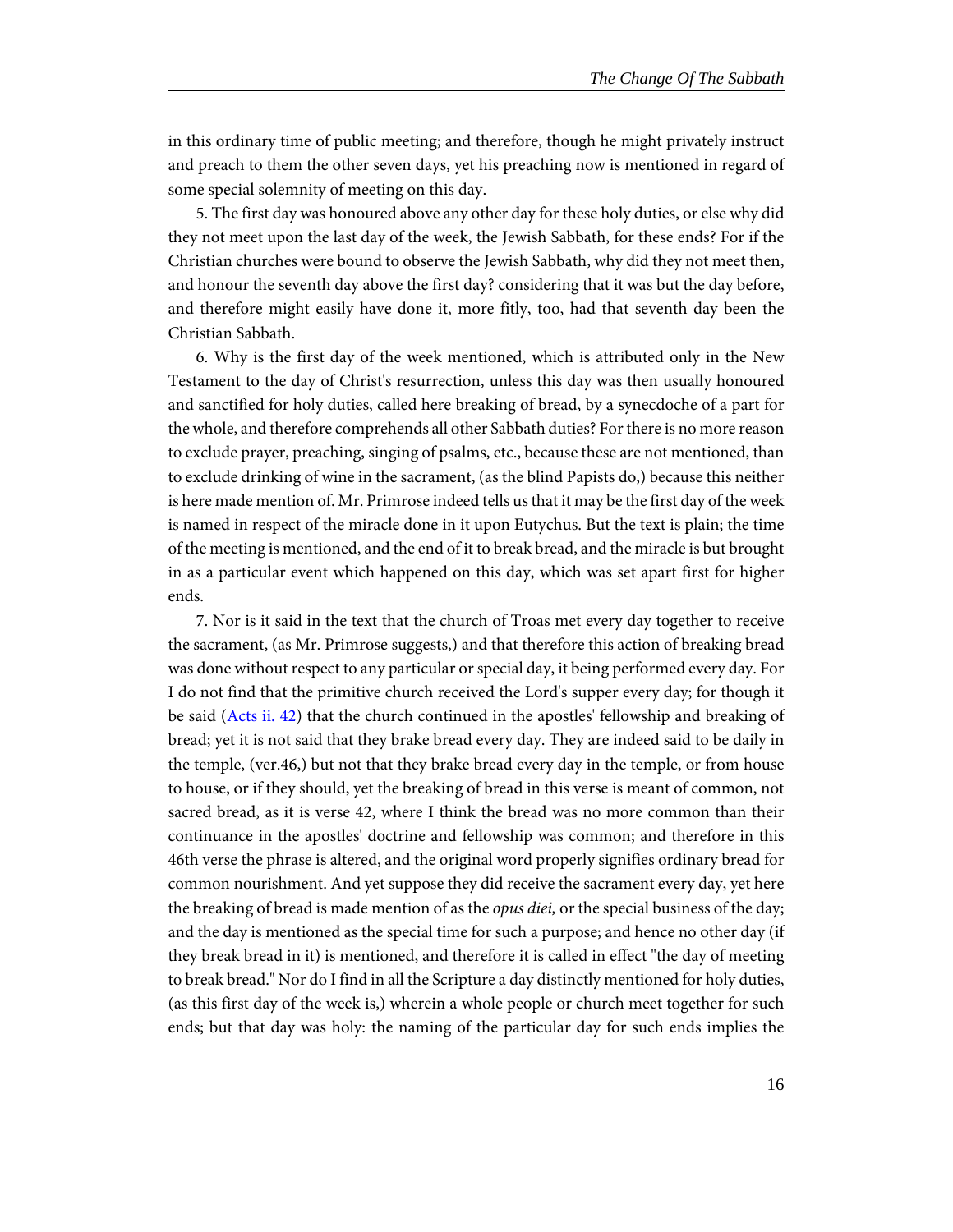in this ordinary time of public meeting; and therefore, though he might privately instruct and preach to them the other seven days, yet his preaching now is mentioned in regard of some special solemnity of meeting on this day.

5. The first day was honoured above any other day for these holy duties, or else why did they not meet upon the last day of the week, the Jewish Sabbath, for these ends? For if the Christian churches were bound to observe the Jewish Sabbath, why did they not meet then, and honour the seventh day above the first day? considering that it was but the day before, and therefore might easily have done it, more fitly, too, had that seventh day been the Christian Sabbath.

6. Why is the first day of the week mentioned, which is attributed only in the New Testament to the day of Christ's resurrection, unless this day was then usually honoured and sanctified for holy duties, called here breaking of bread, by a synecdoche of a part for the whole, and therefore comprehends all other Sabbath duties? For there is no more reason to exclude prayer, preaching, singing of psalms, etc., because these are not mentioned, than to exclude drinking of wine in the sacrament, (as the blind Papists do,) because this neither is here made mention of. Mr. Primrose indeed tells us that it may be the first day of the week is named in respect of the miracle done in it upon Eutychus. But the text is plain; the time of the meeting is mentioned, and the end of it to break bread, and the miracle is but brought in as a particular event which happened on this day, which was set apart first for higher ends.

<span id="page-19-0"></span>7. Nor is it said in the text that the church of Troas met every day together to receive the sacrament, (as Mr. Primrose suggests,) and that therefore this action of breaking bread was done without respect to any particular or special day, it being performed every day. For I do not find that the primitive church received the Lord's supper every day; for though it be said ([Acts ii. 42](http://www.ccel.org/study/Bible:Acts.2.42)) that the church continued in the apostles' fellowship and breaking of bread; yet it is not said that they brake bread every day. They are indeed said to be daily in the temple, (ver.46,) but not that they brake bread every day in the temple, or from house to house, or if they should, yet the breaking of bread in this verse is meant of common, not sacred bread, as it is verse 42, where I think the bread was no more common than their continuance in the apostles' doctrine and fellowship was common; and therefore in this 46th verse the phrase is altered, and the original word properly signifies ordinary bread for common nourishment. And yet suppose they did receive the sacrament every day, yet here the breaking of bread is made mention of as the *opus diei*, or the special business of the day; and the day is mentioned as the special time for such a purpose; and hence no other day (if they break bread in it) is mentioned, and therefore it is called in effect "the day of meeting to break bread." Nor do I find in all the Scripture a day distinctly mentioned for holy duties, (as this first day of the week is,) wherein a whole people or church meet together for such ends; but that day was holy: the naming of the particular day for such ends implies the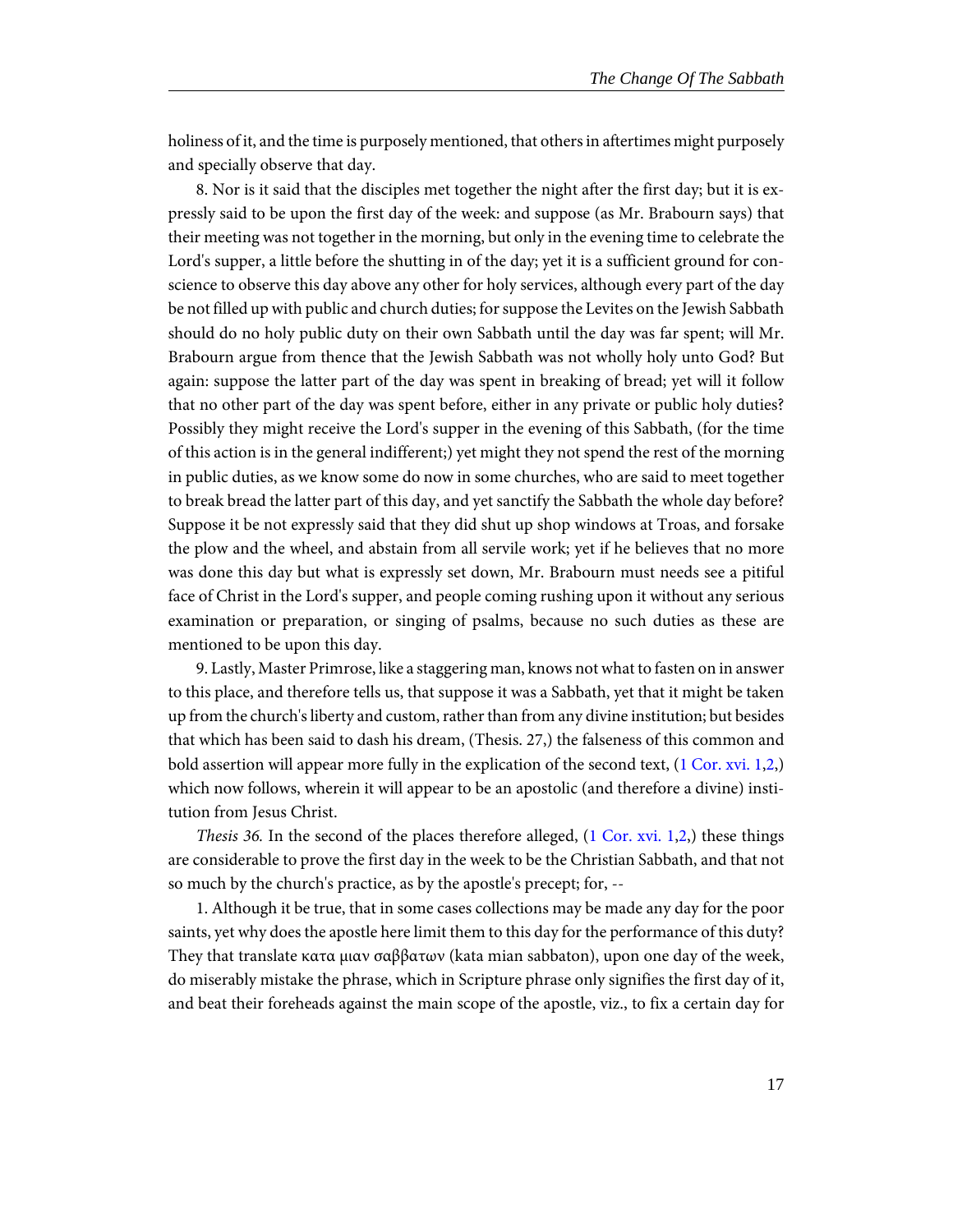holiness of it, and the time is purposely mentioned, that others in aftertimes might purposely and specially observe that day.

8. Nor is it said that the disciples met together the night after the first day; but it is expressly said to be upon the first day of the week: and suppose (as Mr. Brabourn says) that their meeting was not together in the morning, but only in the evening time to celebrate the Lord's supper, a little before the shutting in of the day; yet it is a sufficient ground for conscience to observe this day above any other for holy services, although every part of the day be not filled up with public and church duties; for suppose the Levites on the Jewish Sabbath should do no holy public duty on their own Sabbath until the day was far spent; will Mr. Brabourn argue from thence that the Jewish Sabbath was not wholly holy unto God? But again: suppose the latter part of the day was spent in breaking of bread; yet will it follow that no other part of the day was spent before, either in any private or public holy duties? Possibly they might receive the Lord's supper in the evening of this Sabbath, (for the time of this action is in the general indifferent;) yet might they not spend the rest of the morning in public duties, as we know some do now in some churches, who are said to meet together to break bread the latter part of this day, and yet sanctify the Sabbath the whole day before? Suppose it be not expressly said that they did shut up shop windows at Troas, and forsake the plow and the wheel, and abstain from all servile work; yet if he believes that no more was done this day but what is expressly set down, Mr. Brabourn must needs see a pitiful face of Christ in the Lord's supper, and people coming rushing upon it without any serious examination or preparation, or singing of psalms, because no such duties as these are mentioned to be upon this day.

<span id="page-20-1"></span><span id="page-20-0"></span>9. Lastly, Master Primrose, like a staggering man, knows not what to fasten on in answer to this place, and therefore tells us, that suppose it was a Sabbath, yet that it might be taken up from the church's liberty and custom, rather than from any divine institution; but besides that which has been said to dash his dream, (Thesis. 27,) the falseness of this common and bold assertion will appear more fully in the explication of the second text, ([1 Cor. xvi. 1](http://www.ccel.org/study/Bible:1Cor.16.1)[,2,](http://www.ccel.org/study/Bible:1Cor.16.2)) which now follows, wherein it will appear to be an apostolic (and therefore a divine) institution from Jesus Christ.

Thesis 36. In the second of the places therefore alleged, [\(1 Cor. xvi. 1,](http://www.ccel.org/study/Bible:1Cor.16.1)[2,](http://www.ccel.org/study/Bible:1Cor.16.2)) these things are considerable to prove the first day in the week to be the Christian Sabbath, and that not so much by the church's practice, as by the apostle's precept; for, --

1. Although it be true, that in some cases collections may be made any day for the poor saints, yet why does the apostle here limit them to this day for the performance of this duty? They that translate κατα μιαν σαββατων (kata mian sabbaton), upon one day of the week, do miserably mistake the phrase, which in Scripture phrase only signifies the first day of it, and beat their foreheads against the main scope of the apostle, viz., to fix a certain day for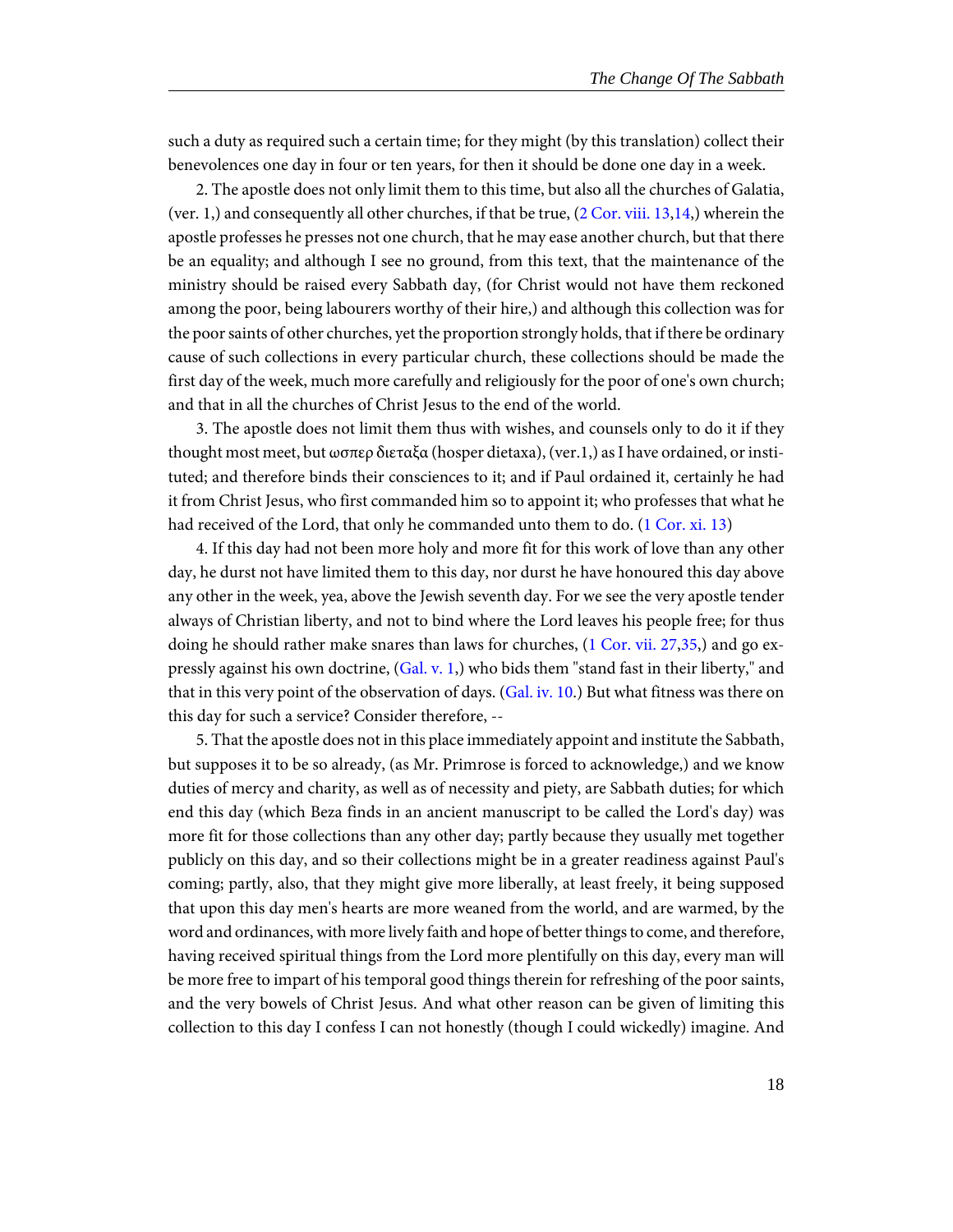such a duty as required such a certain time; for they might (by this translation) collect their benevolences one day in four or ten years, for then it should be done one day in a week.

<span id="page-21-2"></span>2. The apostle does not only limit them to this time, but also all the churches of Galatia, (ver. 1,) and consequently all other churches, if that be true, [\(2 Cor. viii. 13,](http://www.ccel.org/study/Bible:2Cor.8.13)[14,](http://www.ccel.org/study/Bible:2Cor.8.14)) wherein the apostle professes he presses not one church, that he may ease another church, but that there be an equality; and although I see no ground, from this text, that the maintenance of the ministry should be raised every Sabbath day, (for Christ would not have them reckoned among the poor, being labourers worthy of their hire,) and although this collection was for the poor saints of other churches, yet the proportion strongly holds, that if there be ordinary cause of such collections in every particular church, these collections should be made the first day of the week, much more carefully and religiously for the poor of one's own church; and that in all the churches of Christ Jesus to the end of the world.

<span id="page-21-1"></span>3. The apostle does not limit them thus with wishes, and counsels only to do it if they thought most meet, but ωσπερ διεταξα (hosper dietaxa), (ver.1,) as I have ordained, or instituted; and therefore binds their consciences to it; and if Paul ordained it, certainly he had it from Christ Jesus, who first commanded him so to appoint it; who professes that what he had received of the Lord, that only he commanded unto them to do. ([1 Cor. xi. 13](http://www.ccel.org/study/Bible:1Cor.11.13))

<span id="page-21-4"></span><span id="page-21-3"></span><span id="page-21-0"></span>4. If this day had not been more holy and more fit for this work of love than any other day, he durst not have limited them to this day, nor durst he have honoured this day above any other in the week, yea, above the Jewish seventh day. For we see the very apostle tender always of Christian liberty, and not to bind where the Lord leaves his people free; for thus doing he should rather make snares than laws for churches, [\(1 Cor. vii. 27](http://www.ccel.org/study/Bible:1Cor.7.27),[35](http://www.ccel.org/study/Bible:1Cor.7.35),) and go expressly against his own doctrine,  $(Gal, v, 1)$ , who bids them "stand fast in their liberty," and that in this very point of the observation of days. ([Gal. iv. 10](http://www.ccel.org/study/Bible:Gal.4.10).) But what fitness was there on this day for such a service? Consider therefore, --

5. That the apostle does not in this place immediately appoint and institute the Sabbath, but supposes it to be so already, (as Mr. Primrose is forced to acknowledge,) and we know duties of mercy and charity, as well as of necessity and piety, are Sabbath duties; for which end this day (which Beza finds in an ancient manuscript to be called the Lord's day) was more fit for those collections than any other day; partly because they usually met together publicly on this day, and so their collections might be in a greater readiness against Paul's coming; partly, also, that they might give more liberally, at least freely, it being supposed that upon this day men's hearts are more weaned from the world, and are warmed, by the word and ordinances, with more lively faith and hope of better things to come, and therefore, having received spiritual things from the Lord more plentifully on this day, every man will be more free to impart of his temporal good things therein for refreshing of the poor saints, and the very bowels of Christ Jesus. And what other reason can be given of limiting this collection to this day I confess I can not honestly (though I could wickedly) imagine. And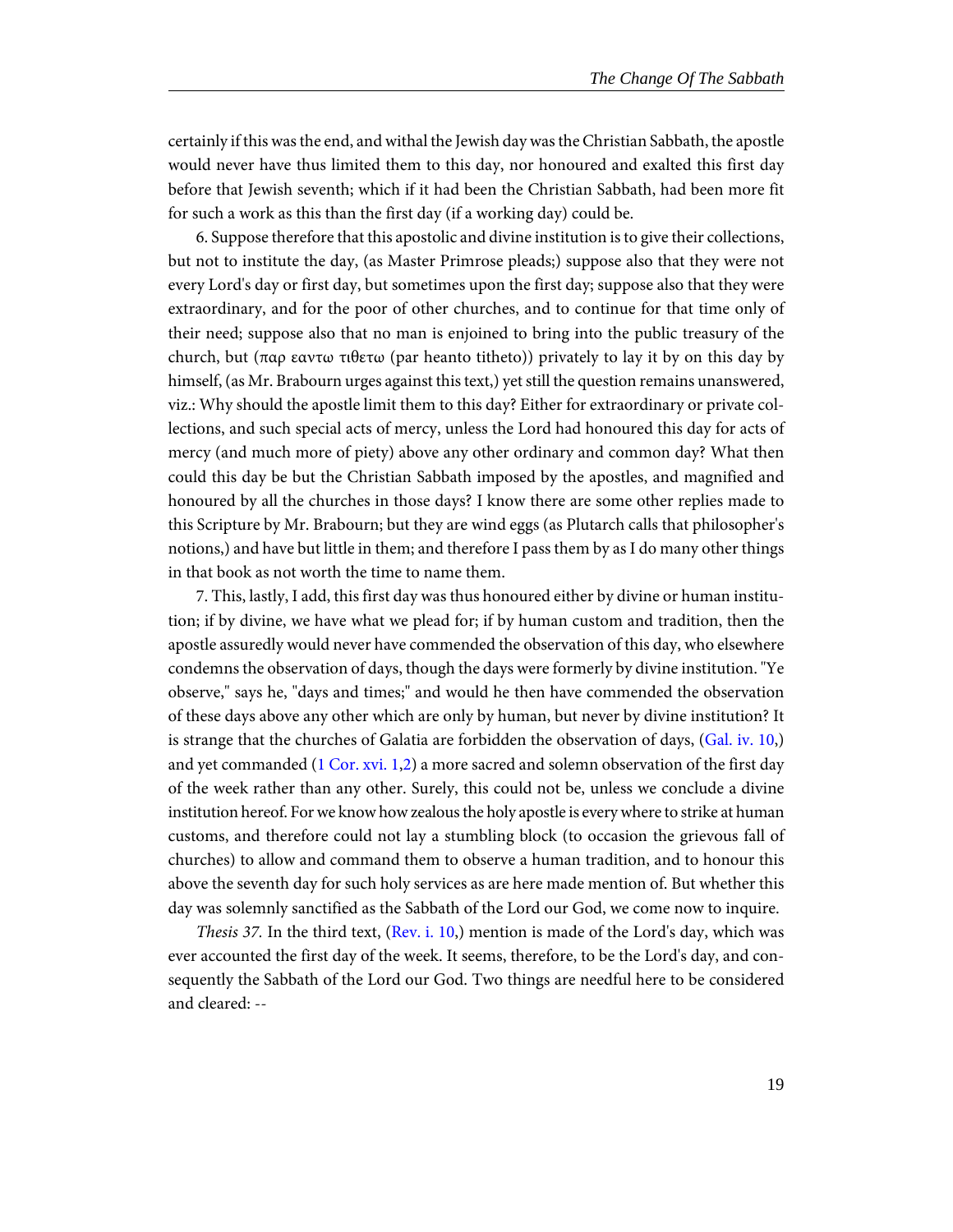certainly if this was the end, and withal the Jewish day was the Christian Sabbath, the apostle would never have thus limited them to this day, nor honoured and exalted this first day before that Jewish seventh; which if it had been the Christian Sabbath, had been more fit for such a work as this than the first day (if a working day) could be.

6. Suppose therefore that this apostolic and divine institution is to give their collections, but not to institute the day, (as Master Primrose pleads;) suppose also that they were not every Lord's day or first day, but sometimes upon the first day; suppose also that they were extraordinary, and for the poor of other churches, and to continue for that time only of their need; suppose also that no man is enjoined to bring into the public treasury of the church, but (παρ εαντω τιθετω (par heanto titheto)) privately to lay it by on this day by himself, (as Mr. Brabourn urges against this text,) yet still the question remains unanswered, viz.: Why should the apostle limit them to this day? Either for extraordinary or private collections, and such special acts of mercy, unless the Lord had honoured this day for acts of mercy (and much more of piety) above any other ordinary and common day? What then could this day be but the Christian Sabbath imposed by the apostles, and magnified and honoured by all the churches in those days? I know there are some other replies made to this Scripture by Mr. Brabourn; but they are wind eggs (as Plutarch calls that philosopher's notions,) and have but little in them; and therefore I pass them by as I do many other things in that book as not worth the time to name them.

<span id="page-22-1"></span><span id="page-22-0"></span>7. This, lastly, I add, this first day was thus honoured either by divine or human institution; if by divine, we have what we plead for; if by human custom and tradition, then the apostle assuredly would never have commended the observation of this day, who elsewhere condemns the observation of days, though the days were formerly by divine institution. "Ye observe," says he, "days and times;" and would he then have commended the observation of these days above any other which are only by human, but never by divine institution? It is strange that the churches of Galatia are forbidden the observation of days, ([Gal. iv. 10,](http://www.ccel.org/study/Bible:Gal.4.10)) and yet commanded ([1 Cor. xvi. 1](http://www.ccel.org/study/Bible:1Cor.16.1)[,2](http://www.ccel.org/study/Bible:1Cor.16.2)) a more sacred and solemn observation of the first day of the week rather than any other. Surely, this could not be, unless we conclude a divine institution hereof. For we know how zealous the holy apostle is every where to strike at human customs, and therefore could not lay a stumbling block (to occasion the grievous fall of churches) to allow and command them to observe a human tradition, and to honour this above the seventh day for such holy services as are here made mention of. But whether this day was solemnly sanctified as the Sabbath of the Lord our God, we come now to inquire.

<span id="page-22-2"></span>Thesis 37. In the third text, ([Rev. i. 10](http://www.ccel.org/study/Bible:Rev.1.10),) mention is made of the Lord's day, which was ever accounted the first day of the week. It seems, therefore, to be the Lord's day, and consequently the Sabbath of the Lord our God. Two things are needful here to be considered and cleared: --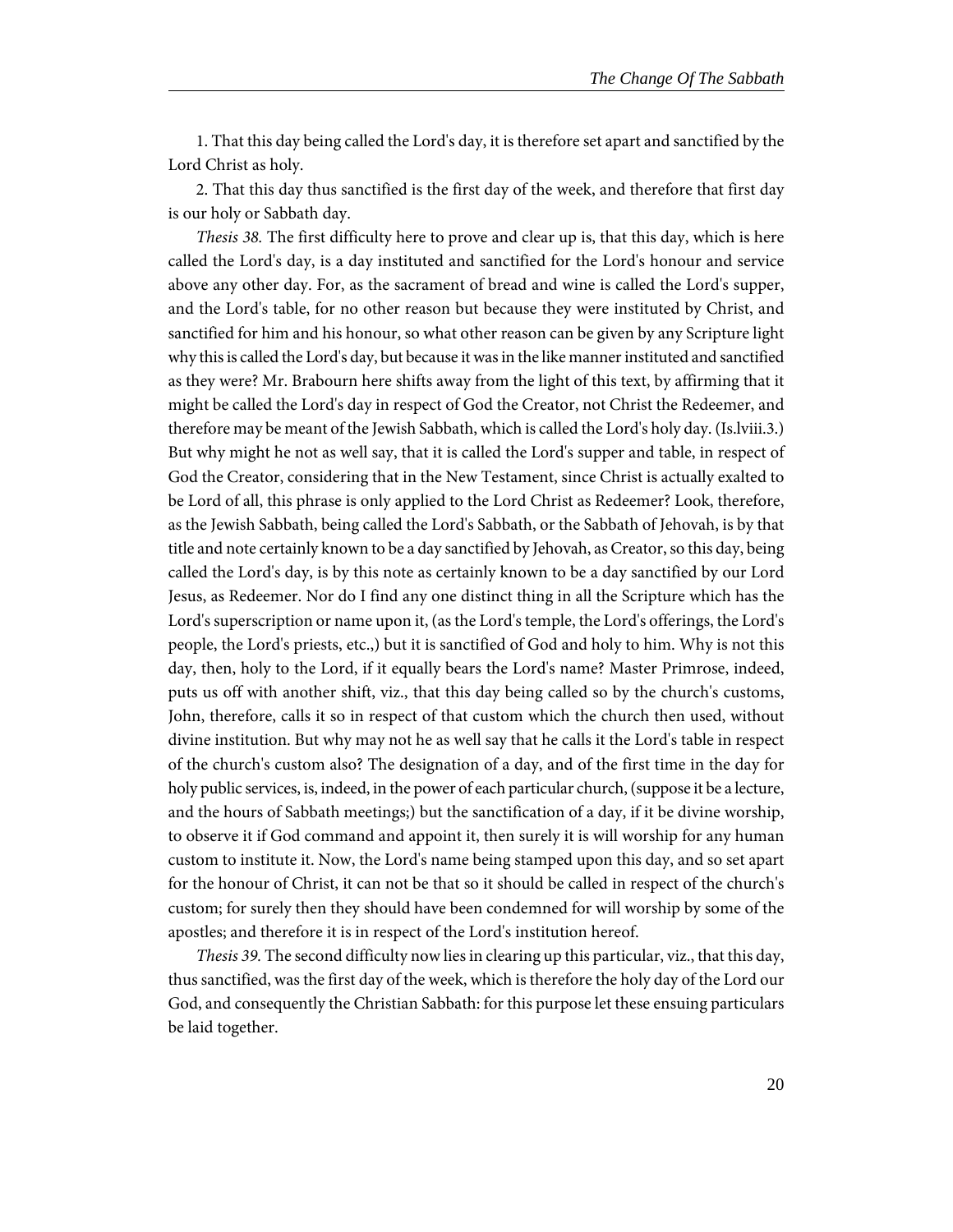1. That this day being called the Lord's day, it is therefore set apart and sanctified by the Lord Christ as holy.

2. That this day thus sanctified is the first day of the week, and therefore that first day is our holy or Sabbath day.

Thesis 38. The first difficulty here to prove and clear up is, that this day, which is here called the Lord's day, is a day instituted and sanctified for the Lord's honour and service above any other day. For, as the sacrament of bread and wine is called the Lord's supper, and the Lord's table, for no other reason but because they were instituted by Christ, and sanctified for him and his honour, so what other reason can be given by any Scripture light why this is called the Lord's day, but because it was in the like manner instituted and sanctified as they were? Mr. Brabourn here shifts away from the light of this text, by affirming that it might be called the Lord's day in respect of God the Creator, not Christ the Redeemer, and therefore may be meant of the Jewish Sabbath, which is called the Lord's holy day. (Is.lviii.3.) But why might he not as well say, that it is called the Lord's supper and table, in respect of God the Creator, considering that in the New Testament, since Christ is actually exalted to be Lord of all, this phrase is only applied to the Lord Christ as Redeemer? Look, therefore, as the Jewish Sabbath, being called the Lord's Sabbath, or the Sabbath of Jehovah, is by that title and note certainly known to be a day sanctified by Jehovah, as Creator, so this day, being called the Lord's day, is by this note as certainly known to be a day sanctified by our Lord Jesus, as Redeemer. Nor do I find any one distinct thing in all the Scripture which has the Lord's superscription or name upon it, (as the Lord's temple, the Lord's offerings, the Lord's people, the Lord's priests, etc.,) but it is sanctified of God and holy to him. Why is not this day, then, holy to the Lord, if it equally bears the Lord's name? Master Primrose, indeed, puts us off with another shift, viz., that this day being called so by the church's customs, John, therefore, calls it so in respect of that custom which the church then used, without divine institution. But why may not he as well say that he calls it the Lord's table in respect of the church's custom also? The designation of a day, and of the first time in the day for holy public services, is, indeed, in the power of each particular church, (suppose it be a lecture, and the hours of Sabbath meetings;) but the sanctification of a day, if it be divine worship, to observe it if God command and appoint it, then surely it is will worship for any human custom to institute it. Now, the Lord's name being stamped upon this day, and so set apart for the honour of Christ, it can not be that so it should be called in respect of the church's custom; for surely then they should have been condemned for will worship by some of the apostles; and therefore it is in respect of the Lord's institution hereof.

Thesis 39. The second difficulty now lies in clearing up this particular, viz., that this day, thus sanctified, was the first day of the week, which is therefore the holy day of the Lord our God, and consequently the Christian Sabbath: for this purpose let these ensuing particulars be laid together.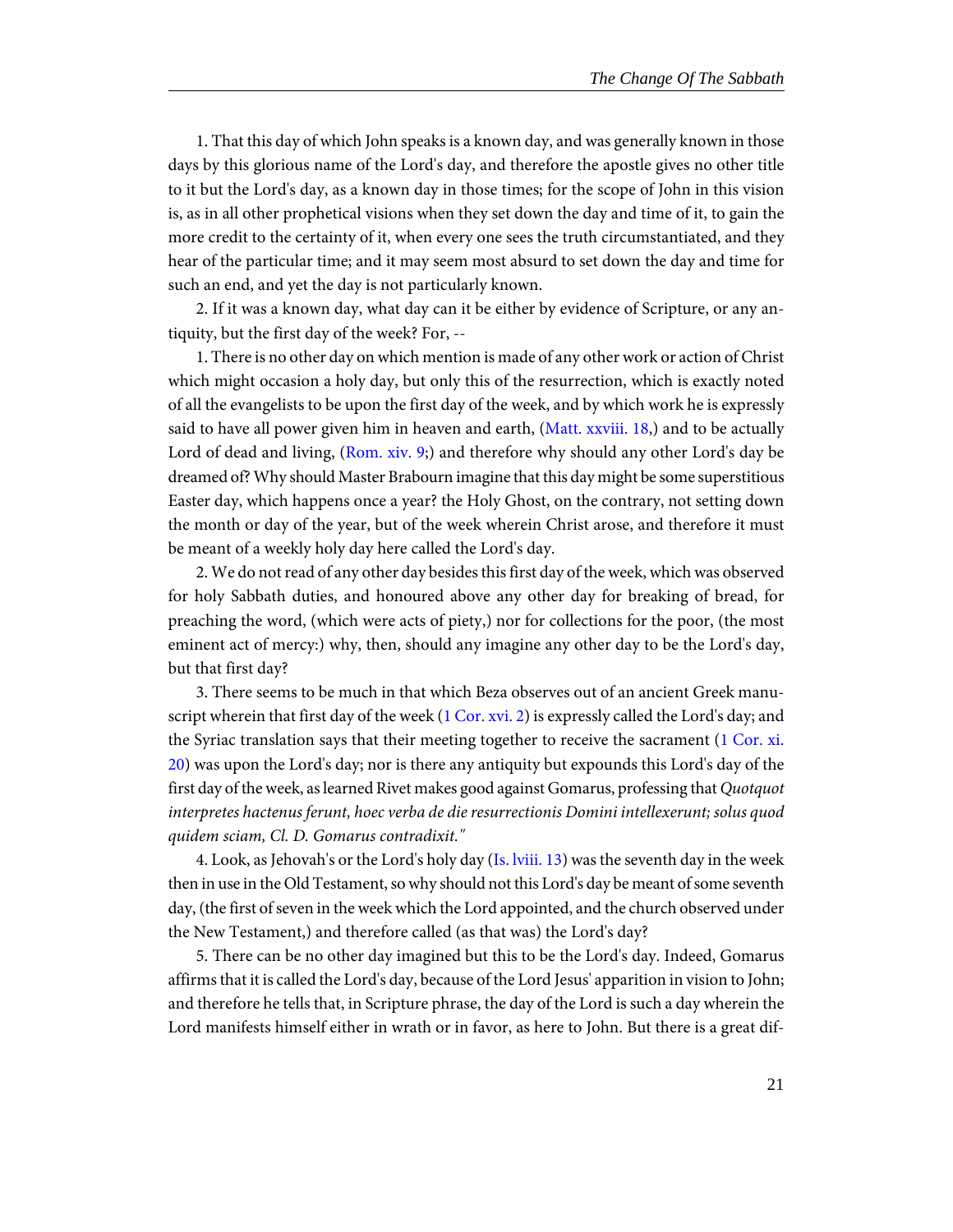1. That this day of which John speaks is a known day, and was generally known in those days by this glorious name of the Lord's day, and therefore the apostle gives no other title to it but the Lord's day, as a known day in those times; for the scope of John in this vision is, as in all other prophetical visions when they set down the day and time of it, to gain the more credit to the certainty of it, when every one sees the truth circumstantiated, and they hear of the particular time; and it may seem most absurd to set down the day and time for such an end, and yet the day is not particularly known.

2. If it was a known day, what day can it be either by evidence of Scripture, or any antiquity, but the first day of the week? For, --

<span id="page-24-2"></span><span id="page-24-1"></span>1. There is no other day on which mention is made of any other work or action of Christ which might occasion a holy day, but only this of the resurrection, which is exactly noted of all the evangelists to be upon the first day of the week, and by which work he is expressly said to have all power given him in heaven and earth, [\(Matt. xxviii. 18,](http://www.ccel.org/study/Bible:Matt.28.18)) and to be actually Lord of dead and living, [\(Rom. xiv. 9;](http://www.ccel.org/study/Bible:Rom.14.9)) and therefore why should any other Lord's day be dreamed of? Why should Master Brabourn imagine that this day might be some superstitious Easter day, which happens once a year? the Holy Ghost, on the contrary, not setting down the month or day of the year, but of the week wherein Christ arose, and therefore it must be meant of a weekly holy day here called the Lord's day.

2. We do not read of any other day besides this first day of the week, which was observed for holy Sabbath duties, and honoured above any other day for breaking of bread, for preaching the word, (which were acts of piety,) nor for collections for the poor, (the most eminent act of mercy:) why, then, should any imagine any other day to be the Lord's day, but that first day?

<span id="page-24-4"></span><span id="page-24-3"></span><span id="page-24-0"></span>3. There seems to be much in that which Beza observes out of an ancient Greek manu-script wherein that first day of the week ([1 Cor. xvi. 2\)](http://www.ccel.org/study/Bible:1Cor.16.2) is expressly called the Lord's day; and the Syriac translation says that their meeting together to receive the sacrament ([1 Cor. xi.](http://www.ccel.org/study/Bible:1Cor.11.20) [20\)](http://www.ccel.org/study/Bible:1Cor.11.20) was upon the Lord's day; nor is there any antiquity but expounds this Lord's day of the first day of the week, as learned Rivet makes good against Gomarus, professing that Quotquot interpretes hactenus ferunt, hoec verba de die resurrectionis Domini intellexerunt; solus quod quidem sciam, Cl. D. Gomarus contradixit."

4. Look, as Jehovah's or the Lord's holy day [\(Is. lviii. 13](http://www.ccel.org/study/Bible:Isa.58.13)) was the seventh day in the week then in use in the Old Testament, so why should not this Lord's day be meant of some seventh day, (the first of seven in the week which the Lord appointed, and the church observed under the New Testament,) and therefore called (as that was) the Lord's day?

5. There can be no other day imagined but this to be the Lord's day. Indeed, Gomarus affirms that it is called the Lord's day, because of the Lord Jesus' apparition in vision to John; and therefore he tells that, in Scripture phrase, the day of the Lord is such a day wherein the Lord manifests himself either in wrath or in favor, as here to John. But there is a great dif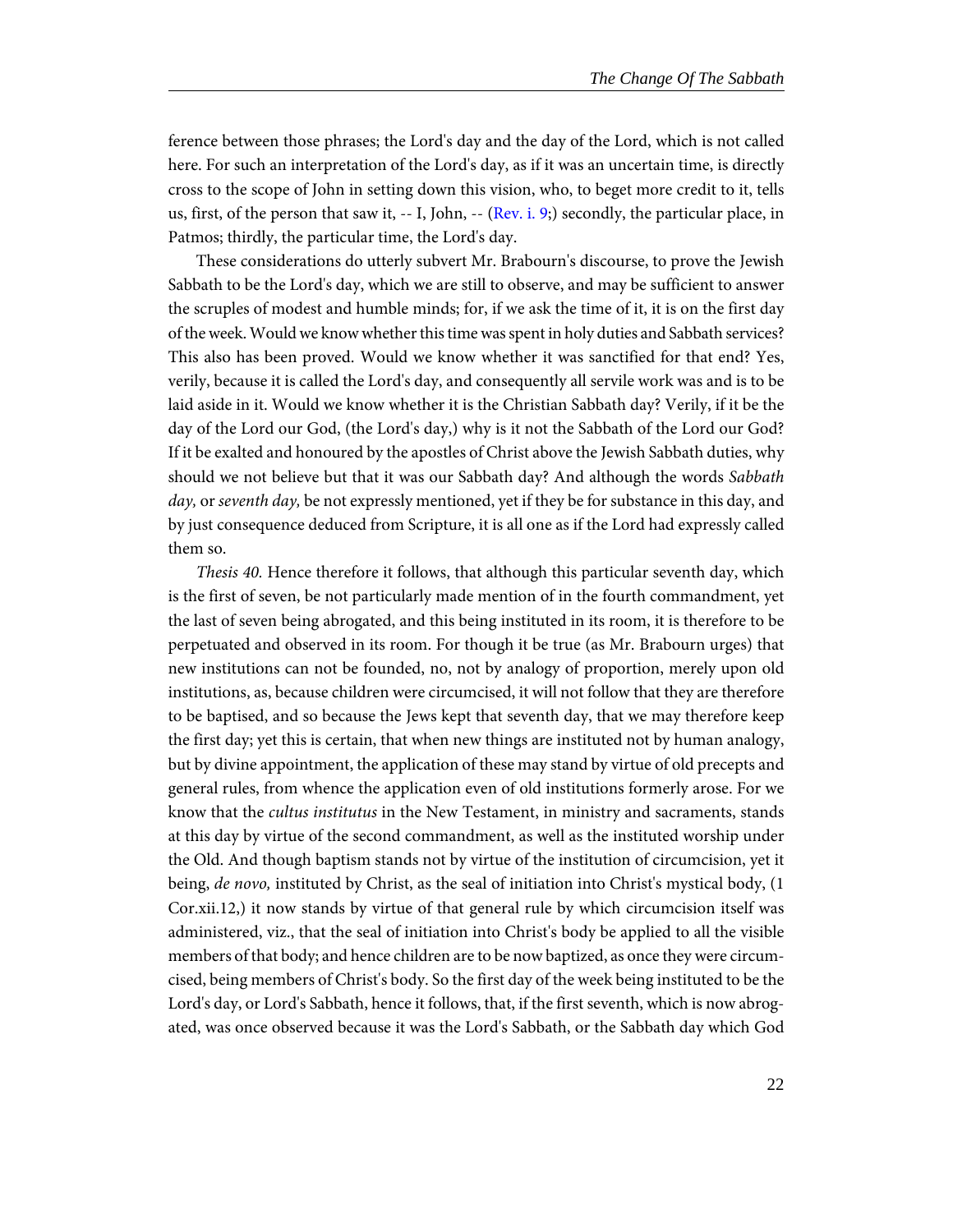<span id="page-25-0"></span>ference between those phrases; the Lord's day and the day of the Lord, which is not called here. For such an interpretation of the Lord's day, as if it was an uncertain time, is directly cross to the scope of John in setting down this vision, who, to beget more credit to it, tells us, first, of the person that saw it, -- I, John, -- [\(Rev. i. 9](http://www.ccel.org/study/Bible:Rev.1.9);) secondly, the particular place, in Patmos; thirdly, the particular time, the Lord's day.

These considerations do utterly subvert Mr. Brabourn's discourse, to prove the Jewish Sabbath to be the Lord's day, which we are still to observe, and may be sufficient to answer the scruples of modest and humble minds; for, if we ask the time of it, it is on the first day of the week. Would we know whether this time was spent in holy duties and Sabbath services? This also has been proved. Would we know whether it was sanctified for that end? Yes, verily, because it is called the Lord's day, and consequently all servile work was and is to be laid aside in it. Would we know whether it is the Christian Sabbath day? Verily, if it be the day of the Lord our God, (the Lord's day,) why is it not the Sabbath of the Lord our God? If it be exalted and honoured by the apostles of Christ above the Jewish Sabbath duties, why should we not believe but that it was our Sabbath day? And although the words Sabbath day, or seventh day, be not expressly mentioned, yet if they be for substance in this day, and by just consequence deduced from Scripture, it is all one as if the Lord had expressly called them so.

Thesis 40. Hence therefore it follows, that although this particular seventh day, which is the first of seven, be not particularly made mention of in the fourth commandment, yet the last of seven being abrogated, and this being instituted in its room, it is therefore to be perpetuated and observed in its room. For though it be true (as Mr. Brabourn urges) that new institutions can not be founded, no, not by analogy of proportion, merely upon old institutions, as, because children were circumcised, it will not follow that they are therefore to be baptised, and so because the Jews kept that seventh day, that we may therefore keep the first day; yet this is certain, that when new things are instituted not by human analogy, but by divine appointment, the application of these may stand by virtue of old precepts and general rules, from whence the application even of old institutions formerly arose. For we know that the *cultus institutus* in the New Testament, in ministry and sacraments, stands at this day by virtue of the second commandment, as well as the instituted worship under the Old. And though baptism stands not by virtue of the institution of circumcision, yet it being, de novo, instituted by Christ, as the seal of initiation into Christ's mystical body, (1) Cor.xii.12,) it now stands by virtue of that general rule by which circumcision itself was administered, viz., that the seal of initiation into Christ's body be applied to all the visible members of that body; and hence children are to be now baptized, as once they were circumcised, being members of Christ's body. So the first day of the week being instituted to be the Lord's day, or Lord's Sabbath, hence it follows, that, if the first seventh, which is now abrogated, was once observed because it was the Lord's Sabbath, or the Sabbath day which God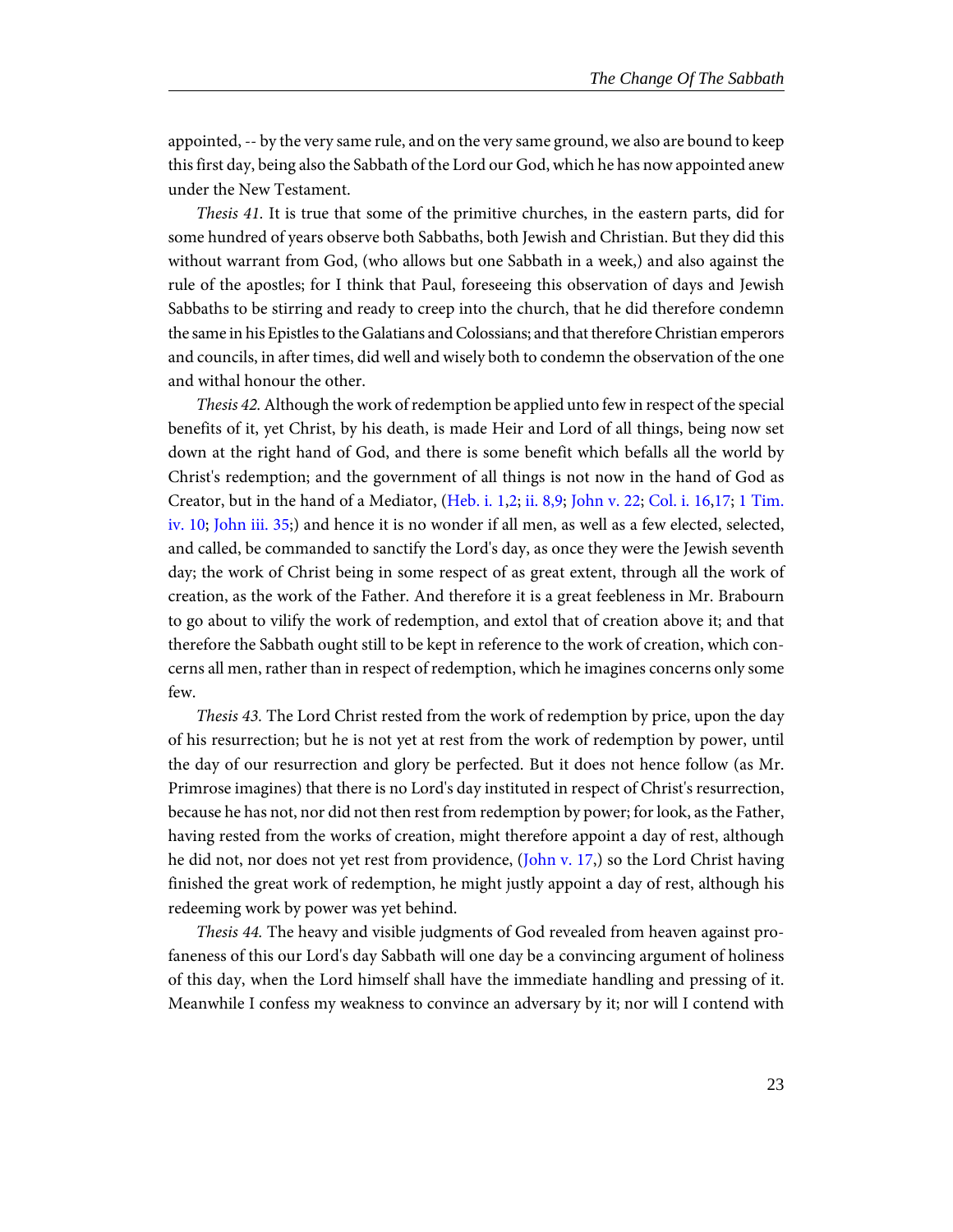appointed, -- by the very same rule, and on the very same ground, we also are bound to keep this first day, being also the Sabbath of the Lord our God, which he has now appointed anew under the New Testament.

Thesis 41. It is true that some of the primitive churches, in the eastern parts, did for some hundred of years observe both Sabbaths, both Jewish and Christian. But they did this without warrant from God, (who allows but one Sabbath in a week,) and also against the rule of the apostles; for I think that Paul, foreseeing this observation of days and Jewish Sabbaths to be stirring and ready to creep into the church, that he did therefore condemn the same in his Epistles to the Galatians and Colossians; and that therefore Christian emperors and councils, in after times, did well and wisely both to condemn the observation of the one and withal honour the other.

<span id="page-26-2"></span><span id="page-26-0"></span>Thesis 42.Although the work of redemption be applied unto few in respect of the special benefits of it, yet Christ, by his death, is made Heir and Lord of all things, being now set down at the right hand of God, and there is some benefit which befalls all the world by Christ's redemption; and the government of all things is not now in the hand of God as Creator, but in the hand of a Mediator, [\(Heb. i. 1,](http://www.ccel.org/study/Bible:Heb.1.1)[2](http://www.ccel.org/study/Bible:Heb.1.2); [ii. 8,9;](http://www.ccel.org/study/Bible:Heb.2.8-Heb.2.9) [John v. 22;](http://www.ccel.org/study/Bible:John.5.22) [Col. i. 16](http://www.ccel.org/study/Bible:Col.1.16),[17;](http://www.ccel.org/study/Bible:Col.1.17) [1 Tim.](http://www.ccel.org/study/Bible:1Tim.4.10) [iv. 10;](http://www.ccel.org/study/Bible:1Tim.4.10) [John iii. 35](http://www.ccel.org/study/Bible:John.3.35);) and hence it is no wonder if all men, as well as a few elected, selected, and called, be commanded to sanctify the Lord's day, as once they were the Jewish seventh day; the work of Christ being in some respect of as great extent, through all the work of creation, as the work of the Father. And therefore it is a great feebleness in Mr. Brabourn to go about to vilify the work of redemption, and extol that of creation above it; and that therefore the Sabbath ought still to be kept in reference to the work of creation, which concerns all men, rather than in respect of redemption, which he imagines concerns only some few.

<span id="page-26-1"></span>Thesis 43. The Lord Christ rested from the work of redemption by price, upon the day of his resurrection; but he is not yet at rest from the work of redemption by power, until the day of our resurrection and glory be perfected. But it does not hence follow (as Mr. Primrose imagines) that there is no Lord's day instituted in respect of Christ's resurrection, because he has not, nor did not then rest from redemption by power; for look, as the Father, having rested from the works of creation, might therefore appoint a day of rest, although he did not, nor does not yet rest from providence, [\(John v. 17](http://www.ccel.org/study/Bible:John.5.17),) so the Lord Christ having finished the great work of redemption, he might justly appoint a day of rest, although his redeeming work by power was yet behind.

Thesis 44. The heavy and visible judgments of God revealed from heaven against profaneness of this our Lord's day Sabbath will one day be a convincing argument of holiness of this day, when the Lord himself shall have the immediate handling and pressing of it. Meanwhile I confess my weakness to convince an adversary by it; nor will I contend with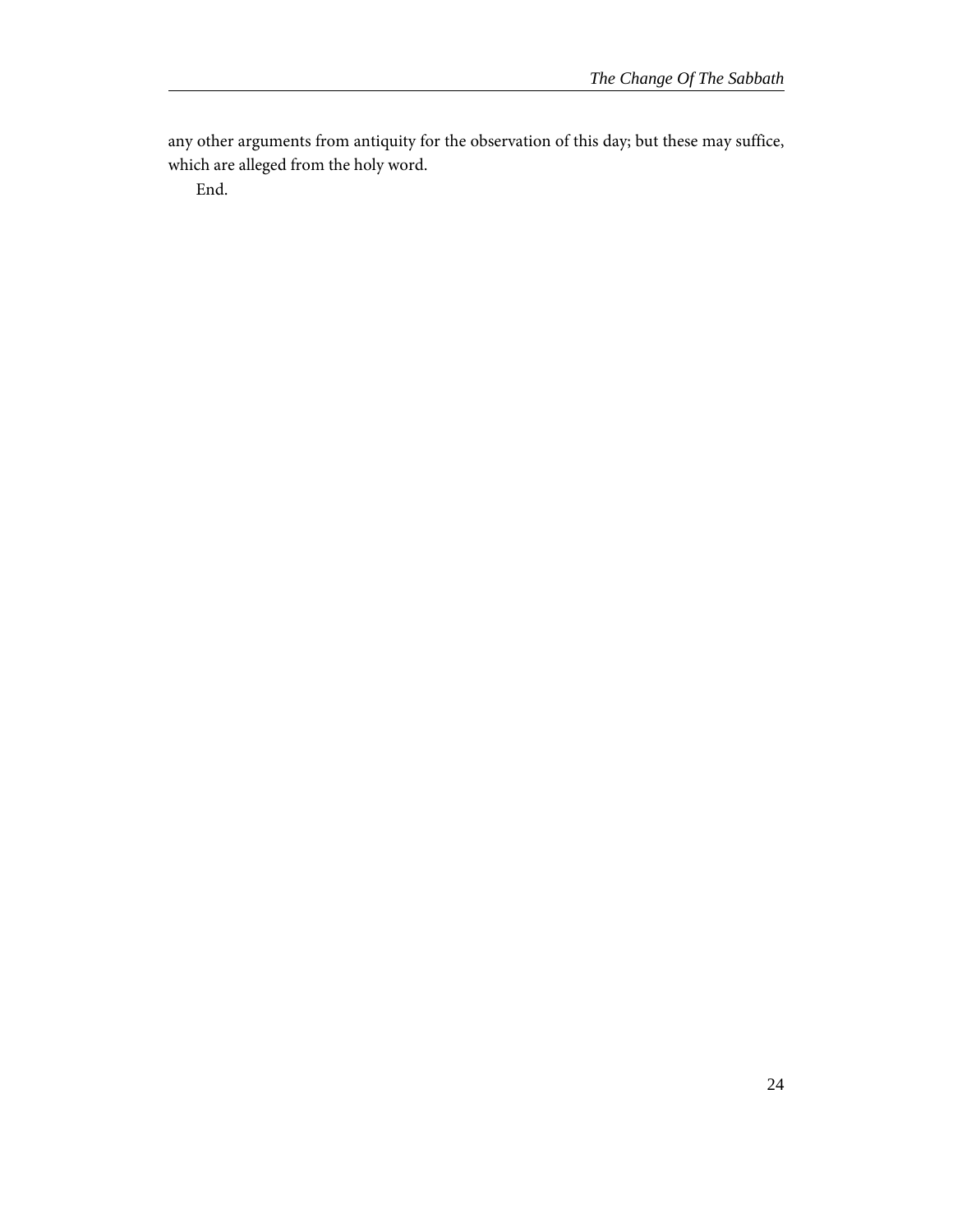any other arguments from antiquity for the observation of this day; but these may suffice, which are alleged from the holy word.

End.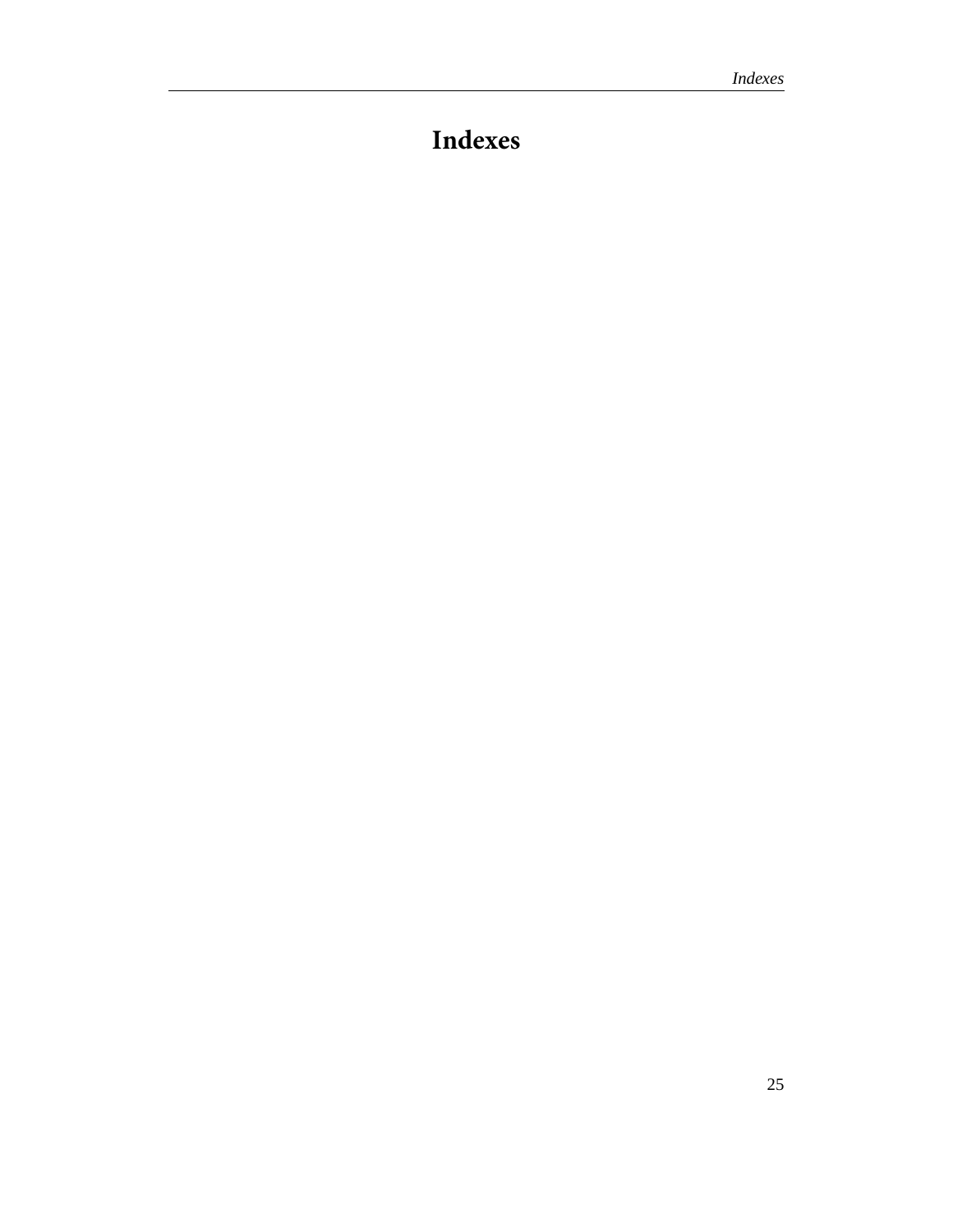# <span id="page-28-0"></span>**Indexes**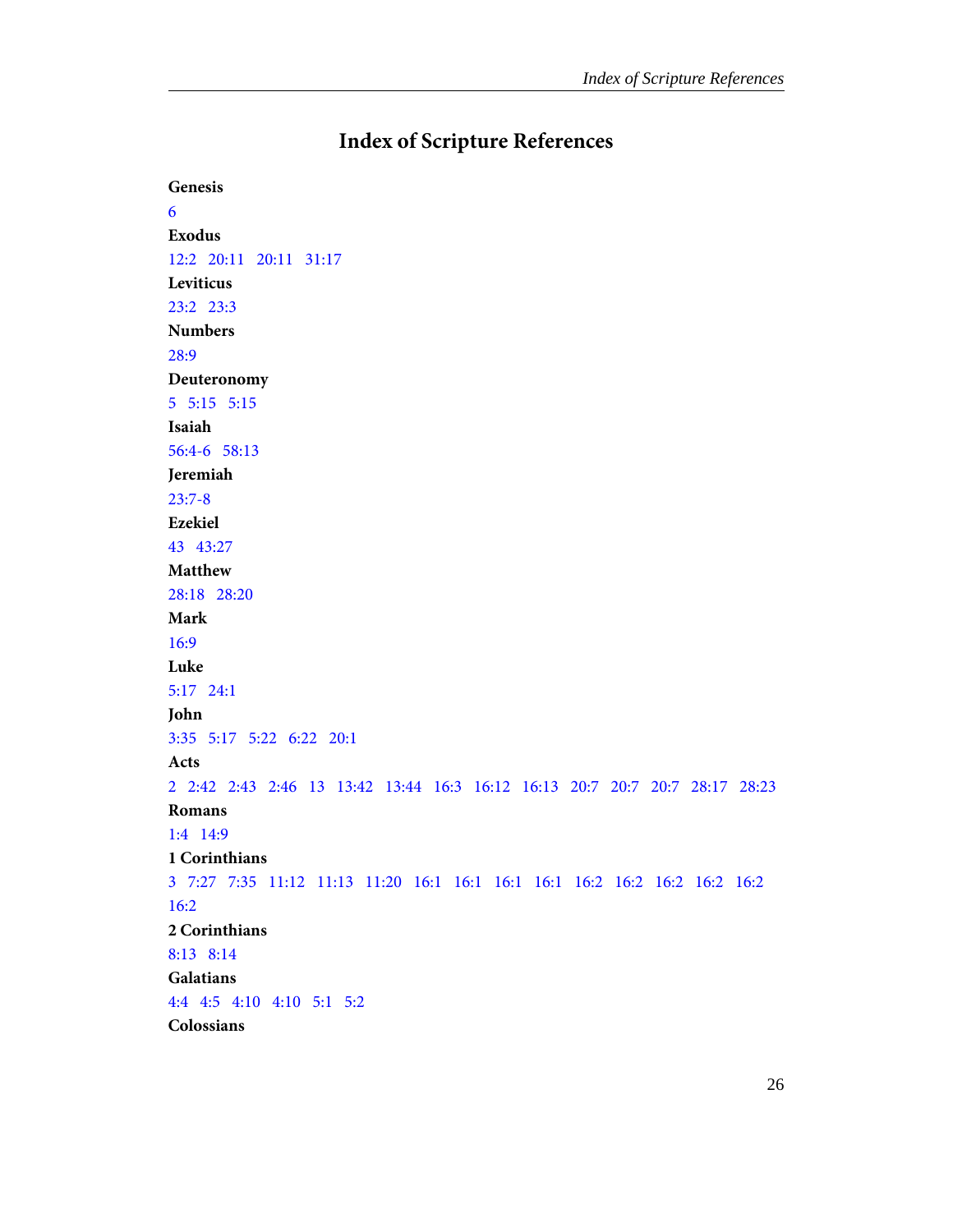```
Genesis
6  
Exodus
12:2   20:11   20:11   31:17  
Leviticus
23:2   23:3  
Numbers
28:9  
Deuteronomy
5   5:15   5:15  
Isaiah
56:4-6   58:13  
Jeremiah
23:7-8  
Ezekiel
43   43:27  
Matthew
28:18   28:20  
Mark
16:9  
Luke
5:17   24:1  
John
3:35   5:17   5:22   6:22   20:1  
Acts
2   2:42   2:43   2:46   13   13:42   13:44   16:3   16:12   16:13   20:7   20:7   20:7   28:17   28:23  
Romans
1:4   14:9  
1 Corinthians
3   7:27   7:35   11:12   11:13   11:20   16:1   16:1   16:1   16:1   16:2   16:2   16:2   16:2   16:2  
16:2  
2 Corinthians
8:13   8:14  
Galatians
4:4   4:5   4:10   4:10   5:1   5:2  
Colossians
```
### **Index of Scripture References**